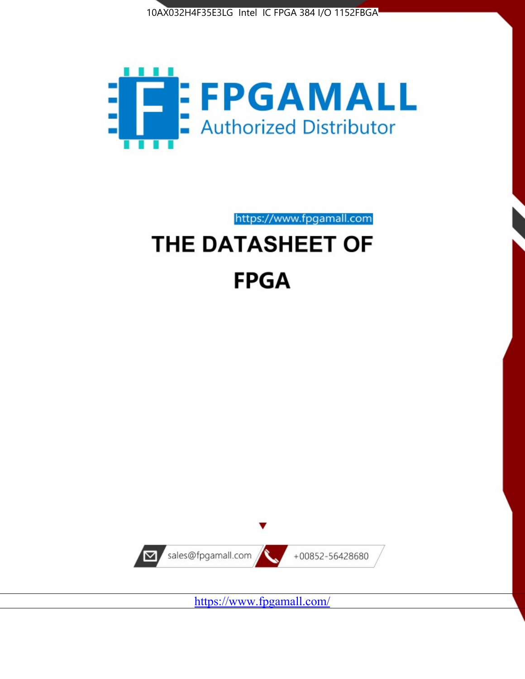



https://www.fpgamall.com THE DATASHEET OF

# **FPGA**



<https://www.fpgamall.com/>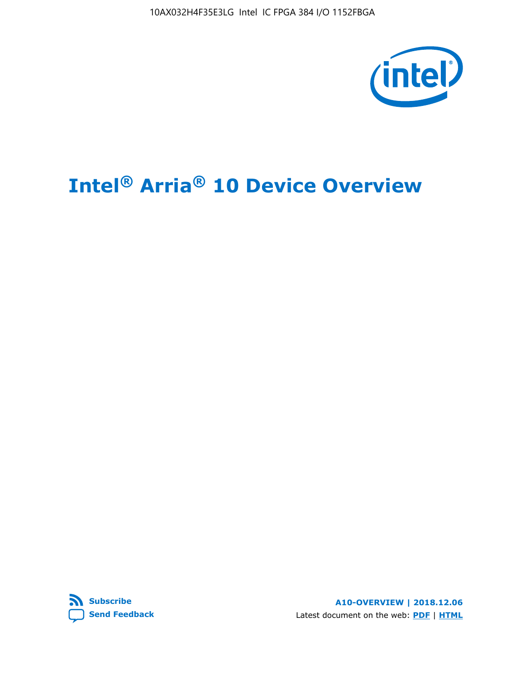10AX032H4F35E3LG Intel IC FPGA 384 I/O 1152FBGA



# **Intel® Arria® 10 Device Overview**



**A10-OVERVIEW | 2018.12.06** Latest document on the web: **[PDF](https://www.intel.com/content/dam/www/programmable/us/en/pdfs/literature/hb/arria-10/a10_overview.pdf)** | **[HTML](https://www.intel.com/content/www/us/en/programmable/documentation/sam1403480274650.html)**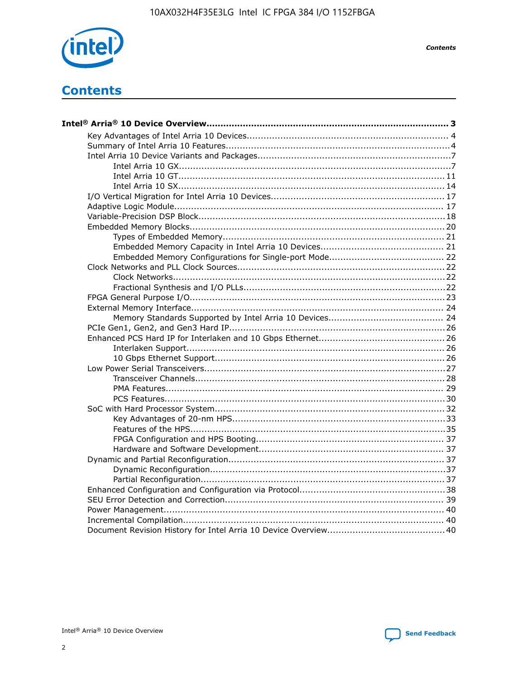

**Contents** 

# **Contents**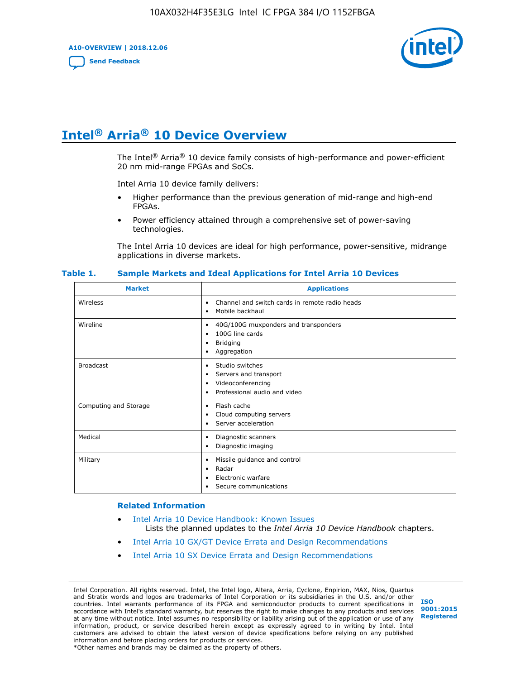**A10-OVERVIEW | 2018.12.06**

**[Send Feedback](mailto:FPGAtechdocfeedback@intel.com?subject=Feedback%20on%20Intel%20Arria%2010%20Device%20Overview%20(A10-OVERVIEW%202018.12.06)&body=We%20appreciate%20your%20feedback.%20In%20your%20comments,%20also%20specify%20the%20page%20number%20or%20paragraph.%20Thank%20you.)**



# **Intel® Arria® 10 Device Overview**

The Intel<sup>®</sup> Arria<sup>®</sup> 10 device family consists of high-performance and power-efficient 20 nm mid-range FPGAs and SoCs.

Intel Arria 10 device family delivers:

- Higher performance than the previous generation of mid-range and high-end FPGAs.
- Power efficiency attained through a comprehensive set of power-saving technologies.

The Intel Arria 10 devices are ideal for high performance, power-sensitive, midrange applications in diverse markets.

| <b>Market</b>         | <b>Applications</b>                                                                                               |
|-----------------------|-------------------------------------------------------------------------------------------------------------------|
| Wireless              | Channel and switch cards in remote radio heads<br>٠<br>Mobile backhaul<br>٠                                       |
| Wireline              | 40G/100G muxponders and transponders<br>٠<br>100G line cards<br>٠<br><b>Bridging</b><br>٠<br>Aggregation<br>٠     |
| <b>Broadcast</b>      | Studio switches<br>٠<br>Servers and transport<br>٠<br>Videoconferencing<br>٠<br>Professional audio and video<br>٠ |
| Computing and Storage | Flash cache<br>٠<br>Cloud computing servers<br>٠<br>Server acceleration<br>٠                                      |
| Medical               | Diagnostic scanners<br>٠<br>Diagnostic imaging<br>٠                                                               |
| Military              | Missile guidance and control<br>٠<br>Radar<br>٠<br>Electronic warfare<br>٠<br>Secure communications<br>٠          |

#### **Table 1. Sample Markets and Ideal Applications for Intel Arria 10 Devices**

#### **Related Information**

- [Intel Arria 10 Device Handbook: Known Issues](http://www.altera.com/support/kdb/solutions/rd07302013_646.html) Lists the planned updates to the *Intel Arria 10 Device Handbook* chapters.
- [Intel Arria 10 GX/GT Device Errata and Design Recommendations](https://www.intel.com/content/www/us/en/programmable/documentation/agz1493851706374.html#yqz1494433888646)
- [Intel Arria 10 SX Device Errata and Design Recommendations](https://www.intel.com/content/www/us/en/programmable/documentation/cru1462832385668.html#cru1462832558642)

Intel Corporation. All rights reserved. Intel, the Intel logo, Altera, Arria, Cyclone, Enpirion, MAX, Nios, Quartus and Stratix words and logos are trademarks of Intel Corporation or its subsidiaries in the U.S. and/or other countries. Intel warrants performance of its FPGA and semiconductor products to current specifications in accordance with Intel's standard warranty, but reserves the right to make changes to any products and services at any time without notice. Intel assumes no responsibility or liability arising out of the application or use of any information, product, or service described herein except as expressly agreed to in writing by Intel. Intel customers are advised to obtain the latest version of device specifications before relying on any published information and before placing orders for products or services. \*Other names and brands may be claimed as the property of others.

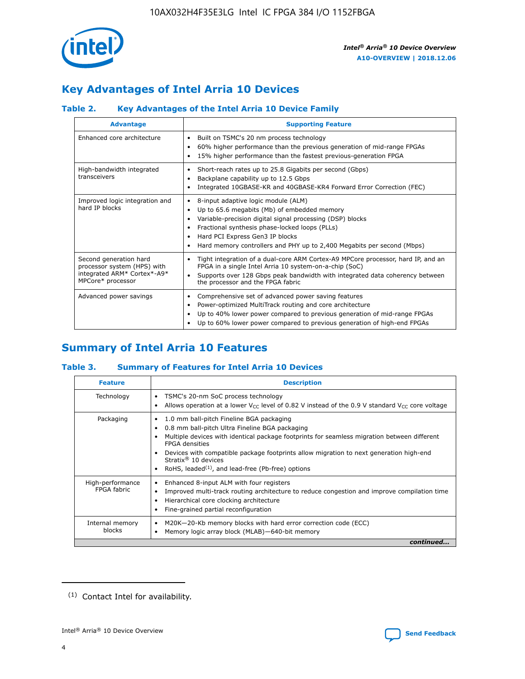

## **Key Advantages of Intel Arria 10 Devices**

## **Table 2. Key Advantages of the Intel Arria 10 Device Family**

| <b>Advantage</b>                                                                                          | <b>Supporting Feature</b>                                                                                                                                                                                                                                                                                                     |
|-----------------------------------------------------------------------------------------------------------|-------------------------------------------------------------------------------------------------------------------------------------------------------------------------------------------------------------------------------------------------------------------------------------------------------------------------------|
| Enhanced core architecture                                                                                | Built on TSMC's 20 nm process technology<br>٠<br>60% higher performance than the previous generation of mid-range FPGAs<br>٠<br>15% higher performance than the fastest previous-generation FPGA<br>٠                                                                                                                         |
| High-bandwidth integrated<br>transceivers                                                                 | Short-reach rates up to 25.8 Gigabits per second (Gbps)<br>٠<br>Backplane capability up to 12.5 Gbps<br>٠<br>Integrated 10GBASE-KR and 40GBASE-KR4 Forward Error Correction (FEC)<br>٠                                                                                                                                        |
| Improved logic integration and<br>hard IP blocks                                                          | 8-input adaptive logic module (ALM)<br>٠<br>Up to 65.6 megabits (Mb) of embedded memory<br>٠<br>Variable-precision digital signal processing (DSP) blocks<br>Fractional synthesis phase-locked loops (PLLs)<br>٠<br>Hard PCI Express Gen3 IP blocks<br>Hard memory controllers and PHY up to 2,400 Megabits per second (Mbps) |
| Second generation hard<br>processor system (HPS) with<br>integrated ARM* Cortex*-A9*<br>MPCore* processor | Tight integration of a dual-core ARM Cortex-A9 MPCore processor, hard IP, and an<br>٠<br>FPGA in a single Intel Arria 10 system-on-a-chip (SoC)<br>Supports over 128 Gbps peak bandwidth with integrated data coherency between<br>$\bullet$<br>the processor and the FPGA fabric                                             |
| Advanced power savings                                                                                    | Comprehensive set of advanced power saving features<br>٠<br>Power-optimized MultiTrack routing and core architecture<br>٠<br>Up to 40% lower power compared to previous generation of mid-range FPGAs<br>٠<br>Up to 60% lower power compared to previous generation of high-end FPGAs                                         |

## **Summary of Intel Arria 10 Features**

#### **Table 3. Summary of Features for Intel Arria 10 Devices**

| <b>Feature</b>                  | <b>Description</b>                                                                                                                                                                                                                                                                                                                                                                                       |
|---------------------------------|----------------------------------------------------------------------------------------------------------------------------------------------------------------------------------------------------------------------------------------------------------------------------------------------------------------------------------------------------------------------------------------------------------|
| Technology                      | TSMC's 20-nm SoC process technology<br>٠<br>Allows operation at a lower $V_{\text{CC}}$ level of 0.82 V instead of the 0.9 V standard $V_{\text{CC}}$ core voltage                                                                                                                                                                                                                                       |
| Packaging                       | 1.0 mm ball-pitch Fineline BGA packaging<br>0.8 mm ball-pitch Ultra Fineline BGA packaging<br>Multiple devices with identical package footprints for seamless migration between different<br><b>FPGA</b> densities<br>Devices with compatible package footprints allow migration to next generation high-end<br>Stratix $\mathcal{R}$ 10 devices<br>RoHS, leaded $(1)$ , and lead-free (Pb-free) options |
| High-performance<br>FPGA fabric | Enhanced 8-input ALM with four registers<br>٠<br>Improved multi-track routing architecture to reduce congestion and improve compilation time<br>Hierarchical core clocking architecture<br>Fine-grained partial reconfiguration                                                                                                                                                                          |
| Internal memory<br>blocks       | M20K-20-Kb memory blocks with hard error correction code (ECC)<br>Memory logic array block (MLAB)-640-bit memory                                                                                                                                                                                                                                                                                         |
|                                 | continued                                                                                                                                                                                                                                                                                                                                                                                                |



<sup>(1)</sup> Contact Intel for availability.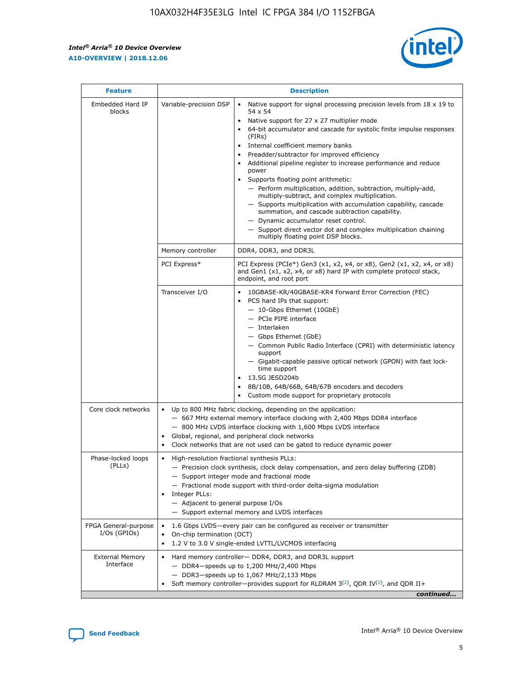r



| <b>Feature</b>                         | <b>Description</b>                                                                                             |                                                                                                                                                                                                                                                                                                                                                                                                                                                                                                                                                                                                                                                                                                                                                                                                                                        |  |  |  |  |  |
|----------------------------------------|----------------------------------------------------------------------------------------------------------------|----------------------------------------------------------------------------------------------------------------------------------------------------------------------------------------------------------------------------------------------------------------------------------------------------------------------------------------------------------------------------------------------------------------------------------------------------------------------------------------------------------------------------------------------------------------------------------------------------------------------------------------------------------------------------------------------------------------------------------------------------------------------------------------------------------------------------------------|--|--|--|--|--|
| Embedded Hard IP<br>blocks             | Variable-precision DSP                                                                                         | Native support for signal processing precision levels from $18 \times 19$ to<br>54 x 54<br>Native support for 27 x 27 multiplier mode<br>64-bit accumulator and cascade for systolic finite impulse responses<br>(FIRs)<br>Internal coefficient memory banks<br>$\bullet$<br>Preadder/subtractor for improved efficiency<br>Additional pipeline register to increase performance and reduce<br>power<br>Supports floating point arithmetic:<br>- Perform multiplication, addition, subtraction, multiply-add,<br>multiply-subtract, and complex multiplication.<br>- Supports multiplication with accumulation capability, cascade<br>summation, and cascade subtraction capability.<br>- Dynamic accumulator reset control.<br>- Support direct vector dot and complex multiplication chaining<br>multiply floating point DSP blocks. |  |  |  |  |  |
|                                        | Memory controller                                                                                              | DDR4, DDR3, and DDR3L                                                                                                                                                                                                                                                                                                                                                                                                                                                                                                                                                                                                                                                                                                                                                                                                                  |  |  |  |  |  |
|                                        | PCI Express*                                                                                                   | PCI Express (PCIe*) Gen3 (x1, x2, x4, or x8), Gen2 (x1, x2, x4, or x8)<br>and Gen1 (x1, x2, x4, or x8) hard IP with complete protocol stack,<br>endpoint, and root port                                                                                                                                                                                                                                                                                                                                                                                                                                                                                                                                                                                                                                                                |  |  |  |  |  |
|                                        | Transceiver I/O                                                                                                | 10GBASE-KR/40GBASE-KR4 Forward Error Correction (FEC)<br>PCS hard IPs that support:<br>$\bullet$<br>- 10-Gbps Ethernet (10GbE)<br>- PCIe PIPE interface<br>$-$ Interlaken<br>- Gbps Ethernet (GbE)<br>- Common Public Radio Interface (CPRI) with deterministic latency<br>support<br>- Gigabit-capable passive optical network (GPON) with fast lock-<br>time support<br>13.5G JESD204b<br>$\bullet$<br>8B/10B, 64B/66B, 64B/67B encoders and decoders<br>Custom mode support for proprietary protocols                                                                                                                                                                                                                                                                                                                               |  |  |  |  |  |
| Core clock networks                    | $\bullet$<br>$\bullet$                                                                                         | Up to 800 MHz fabric clocking, depending on the application:<br>- 667 MHz external memory interface clocking with 2,400 Mbps DDR4 interface<br>- 800 MHz LVDS interface clocking with 1,600 Mbps LVDS interface<br>Global, regional, and peripheral clock networks<br>Clock networks that are not used can be gated to reduce dynamic power                                                                                                                                                                                                                                                                                                                                                                                                                                                                                            |  |  |  |  |  |
| Phase-locked loops<br>(PLLs)           | High-resolution fractional synthesis PLLs:<br>$\bullet$<br>Integer PLLs:<br>- Adjacent to general purpose I/Os | - Precision clock synthesis, clock delay compensation, and zero delay buffering (ZDB)<br>- Support integer mode and fractional mode<br>- Fractional mode support with third-order delta-sigma modulation<br>- Support external memory and LVDS interfaces                                                                                                                                                                                                                                                                                                                                                                                                                                                                                                                                                                              |  |  |  |  |  |
| FPGA General-purpose<br>$I/Os$ (GPIOs) | On-chip termination (OCT)                                                                                      | 1.6 Gbps LVDS-every pair can be configured as receiver or transmitter<br>1.2 V to 3.0 V single-ended LVTTL/LVCMOS interfacing                                                                                                                                                                                                                                                                                                                                                                                                                                                                                                                                                                                                                                                                                                          |  |  |  |  |  |
| <b>External Memory</b><br>Interface    |                                                                                                                | Hard memory controller- DDR4, DDR3, and DDR3L support<br>$-$ DDR4 $-$ speeds up to 1,200 MHz/2,400 Mbps<br>- DDR3-speeds up to 1,067 MHz/2,133 Mbps<br>Soft memory controller—provides support for RLDRAM $3^{(2)}$ , QDR IV $^{(2)}$ , and QDR II+<br>continued                                                                                                                                                                                                                                                                                                                                                                                                                                                                                                                                                                       |  |  |  |  |  |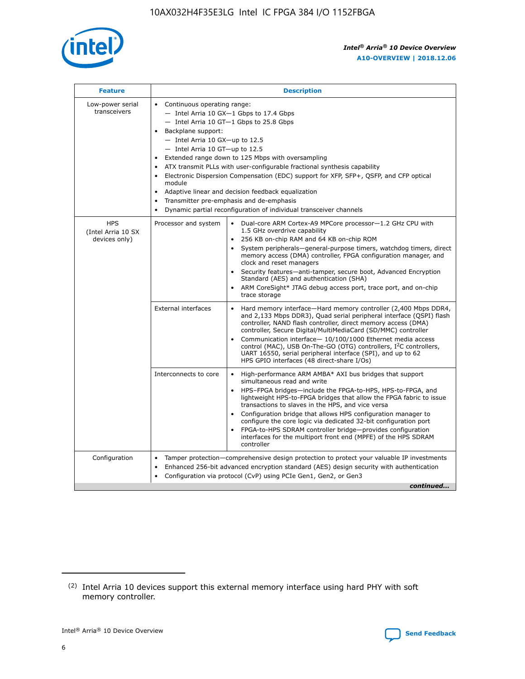

| <b>Feature</b>                                    | <b>Description</b>                                                                                                                                                                                                                                                                                                                                                                                                                                                                                                                                                                                                                                  |  |  |  |  |  |  |  |
|---------------------------------------------------|-----------------------------------------------------------------------------------------------------------------------------------------------------------------------------------------------------------------------------------------------------------------------------------------------------------------------------------------------------------------------------------------------------------------------------------------------------------------------------------------------------------------------------------------------------------------------------------------------------------------------------------------------------|--|--|--|--|--|--|--|
| Low-power serial<br>transceivers                  | • Continuous operating range:<br>- Intel Arria 10 GX-1 Gbps to 17.4 Gbps<br>- Intel Arria 10 GT-1 Gbps to 25.8 Gbps<br>Backplane support:<br>- Intel Arria 10 GX-up to 12.5<br>- Intel Arria 10 GT-up to 12.5<br>Extended range down to 125 Mbps with oversampling<br>ATX transmit PLLs with user-configurable fractional synthesis capability<br>Electronic Dispersion Compensation (EDC) support for XFP, SFP+, QSFP, and CFP optical<br>module<br>Adaptive linear and decision feedback equalization<br>$\bullet$<br>Transmitter pre-emphasis and de-emphasis<br>$\bullet$<br>Dynamic partial reconfiguration of individual transceiver channels |  |  |  |  |  |  |  |
| <b>HPS</b><br>(Intel Arria 10 SX<br>devices only) | Dual-core ARM Cortex-A9 MPCore processor-1.2 GHz CPU with<br>Processor and system<br>$\bullet$<br>1.5 GHz overdrive capability<br>256 KB on-chip RAM and 64 KB on-chip ROM<br>System peripherals—general-purpose timers, watchdog timers, direct<br>memory access (DMA) controller, FPGA configuration manager, and<br>clock and reset managers<br>Security features-anti-tamper, secure boot, Advanced Encryption<br>Standard (AES) and authentication (SHA)<br>ARM CoreSight* JTAG debug access port, trace port, and on-chip<br>trace storage                                                                                                    |  |  |  |  |  |  |  |
|                                                   | <b>External interfaces</b><br>Hard memory interface-Hard memory controller (2,400 Mbps DDR4,<br>$\bullet$<br>and 2,133 Mbps DDR3), Quad serial peripheral interface (QSPI) flash<br>controller, NAND flash controller, direct memory access (DMA)<br>controller, Secure Digital/MultiMediaCard (SD/MMC) controller<br>Communication interface-10/100/1000 Ethernet media access<br>control (MAC), USB On-The-GO (OTG) controllers, I <sup>2</sup> C controllers,<br>UART 16550, serial peripheral interface (SPI), and up to 62<br>HPS GPIO interfaces (48 direct-share I/Os)                                                                       |  |  |  |  |  |  |  |
|                                                   | High-performance ARM AMBA* AXI bus bridges that support<br>Interconnects to core<br>$\bullet$<br>simultaneous read and write<br>HPS-FPGA bridges-include the FPGA-to-HPS, HPS-to-FPGA, and<br>$\bullet$<br>lightweight HPS-to-FPGA bridges that allow the FPGA fabric to issue<br>transactions to slaves in the HPS, and vice versa<br>Configuration bridge that allows HPS configuration manager to<br>configure the core logic via dedicated 32-bit configuration port<br>FPGA-to-HPS SDRAM controller bridge-provides configuration<br>interfaces for the multiport front end (MPFE) of the HPS SDRAM<br>controller                              |  |  |  |  |  |  |  |
| Configuration                                     | Tamper protection—comprehensive design protection to protect your valuable IP investments<br>Enhanced 256-bit advanced encryption standard (AES) design security with authentication<br>٠<br>Configuration via protocol (CvP) using PCIe Gen1, Gen2, or Gen3<br>continued                                                                                                                                                                                                                                                                                                                                                                           |  |  |  |  |  |  |  |

<sup>(2)</sup> Intel Arria 10 devices support this external memory interface using hard PHY with soft memory controller.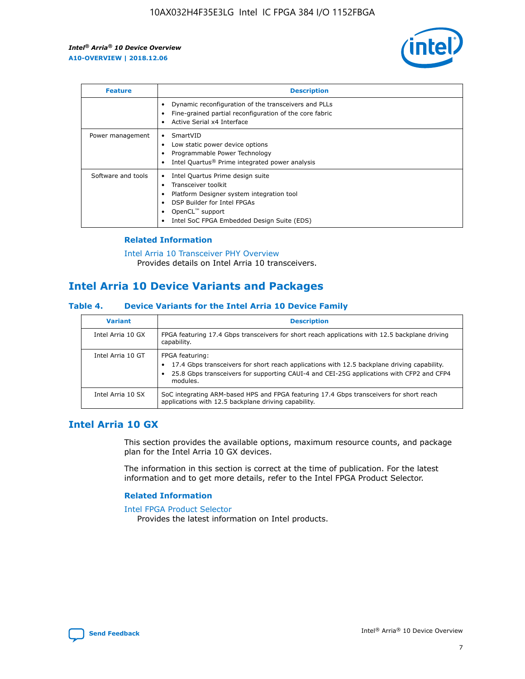

| <b>Feature</b>     | <b>Description</b>                                                                                                                                                                                                    |
|--------------------|-----------------------------------------------------------------------------------------------------------------------------------------------------------------------------------------------------------------------|
|                    | Dynamic reconfiguration of the transceivers and PLLs<br>Fine-grained partial reconfiguration of the core fabric<br>Active Serial x4 Interface                                                                         |
| Power management   | SmartVID<br>Low static power device options<br>Programmable Power Technology<br>Intel Quartus <sup>®</sup> Prime integrated power analysis                                                                            |
| Software and tools | Intel Quartus Prime design suite<br>Transceiver toolkit<br>٠<br>Platform Designer system integration tool<br>DSP Builder for Intel FPGAs<br>OpenCL <sup>™</sup> support<br>Intel SoC FPGA Embedded Design Suite (EDS) |

#### **Related Information**

[Intel Arria 10 Transceiver PHY Overview](https://www.intel.com/content/www/us/en/programmable/documentation/nik1398707230472.html#nik1398706768037) Provides details on Intel Arria 10 transceivers.

## **Intel Arria 10 Device Variants and Packages**

#### **Table 4. Device Variants for the Intel Arria 10 Device Family**

| <b>Variant</b>    | <b>Description</b>                                                                                                                                                                                                     |
|-------------------|------------------------------------------------------------------------------------------------------------------------------------------------------------------------------------------------------------------------|
| Intel Arria 10 GX | FPGA featuring 17.4 Gbps transceivers for short reach applications with 12.5 backplane driving<br>capability.                                                                                                          |
| Intel Arria 10 GT | FPGA featuring:<br>17.4 Gbps transceivers for short reach applications with 12.5 backplane driving capability.<br>25.8 Gbps transceivers for supporting CAUI-4 and CEI-25G applications with CFP2 and CFP4<br>modules. |
| Intel Arria 10 SX | SoC integrating ARM-based HPS and FPGA featuring 17.4 Gbps transceivers for short reach<br>applications with 12.5 backplane driving capability.                                                                        |

## **Intel Arria 10 GX**

This section provides the available options, maximum resource counts, and package plan for the Intel Arria 10 GX devices.

The information in this section is correct at the time of publication. For the latest information and to get more details, refer to the Intel FPGA Product Selector.

#### **Related Information**

#### [Intel FPGA Product Selector](http://www.altera.com/products/selector/psg-selector.html) Provides the latest information on Intel products.

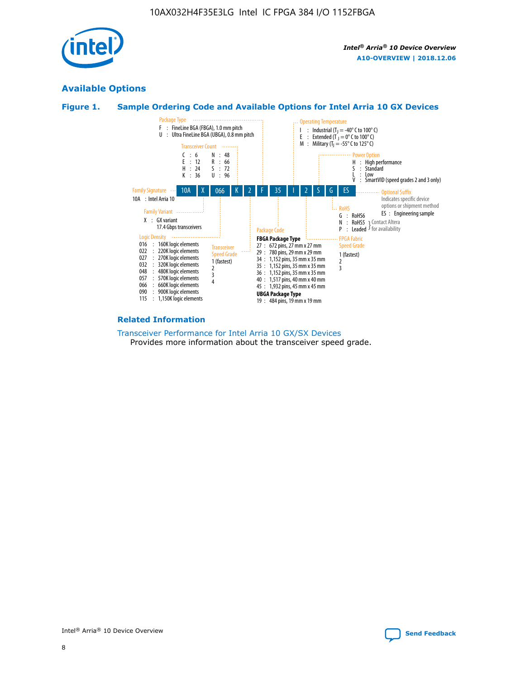

## **Available Options**





#### **Related Information**

[Transceiver Performance for Intel Arria 10 GX/SX Devices](https://www.intel.com/content/www/us/en/programmable/documentation/mcn1413182292568.html#mcn1413213965502) Provides more information about the transceiver speed grade.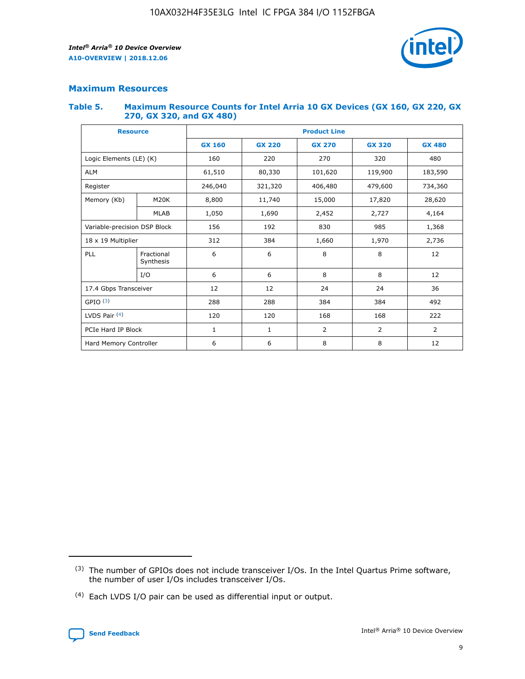

#### **Maximum Resources**

#### **Table 5. Maximum Resource Counts for Intel Arria 10 GX Devices (GX 160, GX 220, GX 270, GX 320, and GX 480)**

| <b>Resource</b>              |                         | <b>Product Line</b> |                                |                |                |               |  |  |
|------------------------------|-------------------------|---------------------|--------------------------------|----------------|----------------|---------------|--|--|
|                              |                         | <b>GX 160</b>       | <b>GX 220</b><br><b>GX 270</b> |                | <b>GX 320</b>  | <b>GX 480</b> |  |  |
| Logic Elements (LE) (K)      |                         | 160                 | 220                            | 270            | 320            | 480           |  |  |
| <b>ALM</b>                   |                         | 61,510              | 80,330                         | 101,620        | 119,900        | 183,590       |  |  |
| Register                     |                         | 246,040             | 321,320<br>406,480             |                | 479,600        | 734,360       |  |  |
| Memory (Kb)                  | M <sub>20</sub> K       | 8,800               | 11,740                         | 15,000         | 17,820         | 28,620        |  |  |
|                              | <b>MLAB</b>             | 1,050               | 1,690                          | 2,452          | 2,727          | 4,164         |  |  |
| Variable-precision DSP Block |                         | 156                 | 192                            | 830<br>985     |                | 1,368         |  |  |
| 18 x 19 Multiplier           |                         | 312                 | 384                            | 1,970<br>1,660 |                | 2,736         |  |  |
| PLL                          | Fractional<br>Synthesis | 6                   | 6                              | 8              | 8              | 12            |  |  |
|                              | I/O                     | 6                   | 6                              | 8              | 8              | 12            |  |  |
| 17.4 Gbps Transceiver        |                         | 12                  | 12                             | 24             | 24             | 36            |  |  |
| GPIO <sup>(3)</sup>          |                         | 288                 | 288                            | 384<br>384     |                | 492           |  |  |
| LVDS Pair $(4)$              |                         | 120                 | 120                            | 168            | 168            | 222           |  |  |
| PCIe Hard IP Block           |                         | 1                   | 1                              | $\overline{2}$ | $\overline{2}$ | 2             |  |  |
| Hard Memory Controller       |                         | 6                   | 6                              | 8              | 8              | 12            |  |  |

<sup>(4)</sup> Each LVDS I/O pair can be used as differential input or output.



<sup>(3)</sup> The number of GPIOs does not include transceiver I/Os. In the Intel Quartus Prime software, the number of user I/Os includes transceiver I/Os.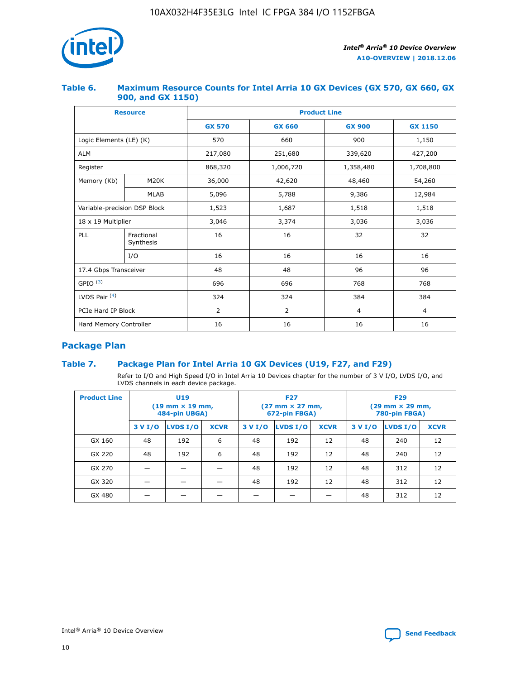

#### **Table 6. Maximum Resource Counts for Intel Arria 10 GX Devices (GX 570, GX 660, GX 900, and GX 1150)**

|                              | <b>Resource</b>         | <b>Product Line</b> |                |                |                |  |  |  |
|------------------------------|-------------------------|---------------------|----------------|----------------|----------------|--|--|--|
|                              |                         | <b>GX 570</b>       | <b>GX 660</b>  | <b>GX 900</b>  | <b>GX 1150</b> |  |  |  |
| Logic Elements (LE) (K)      |                         | 570                 | 660            | 900            | 1,150          |  |  |  |
| <b>ALM</b>                   |                         | 217,080             | 251,680        | 339,620        | 427,200        |  |  |  |
| Register                     |                         | 868,320             | 1,006,720      |                | 1,708,800      |  |  |  |
| Memory (Kb)                  | <b>M20K</b>             | 36,000              | 42,620         | 48,460         | 54,260         |  |  |  |
|                              | <b>MLAB</b>             | 5,096               | 5,788          | 9,386          | 12,984         |  |  |  |
| Variable-precision DSP Block |                         | 1,523               | 1,687          | 1,518          | 1,518          |  |  |  |
| $18 \times 19$ Multiplier    |                         | 3,046               | 3,374          | 3,036          | 3,036          |  |  |  |
| PLL                          | Fractional<br>Synthesis | 16                  | 16             | 32             | 32             |  |  |  |
|                              | I/O                     | 16                  | 16             | 16             | 16             |  |  |  |
| 17.4 Gbps Transceiver        |                         | 48                  | 48<br>96       |                | 96             |  |  |  |
| GPIO <sup>(3)</sup>          |                         | 696                 | 696            | 768            | 768            |  |  |  |
| LVDS Pair $(4)$              |                         | 324                 | 324            | 384            | 384            |  |  |  |
| PCIe Hard IP Block           |                         | 2                   | $\overline{2}$ | $\overline{4}$ | 4              |  |  |  |
| Hard Memory Controller       |                         | 16                  | 16             | 16             | 16             |  |  |  |

## **Package Plan**

#### **Table 7. Package Plan for Intel Arria 10 GX Devices (U19, F27, and F29)**

Refer to I/O and High Speed I/O in Intel Arria 10 Devices chapter for the number of 3 V I/O, LVDS I/O, and LVDS channels in each device package.

| <b>Product Line</b> | U <sub>19</sub><br>$(19 \text{ mm} \times 19 \text{ mm})$<br>484-pin UBGA) |          |             |         | <b>F27</b><br>(27 mm × 27 mm,<br>672-pin FBGA) |             | <b>F29</b><br>(29 mm × 29 mm,<br>780-pin FBGA) |          |             |  |
|---------------------|----------------------------------------------------------------------------|----------|-------------|---------|------------------------------------------------|-------------|------------------------------------------------|----------|-------------|--|
|                     | 3 V I/O                                                                    | LVDS I/O | <b>XCVR</b> | 3 V I/O | <b>LVDS I/O</b>                                | <b>XCVR</b> | 3 V I/O                                        | LVDS I/O | <b>XCVR</b> |  |
| GX 160              | 48                                                                         | 192      | 6           | 48      | 192                                            | 12          | 48                                             | 240      | 12          |  |
| GX 220              | 48                                                                         | 192      | 6           | 48      | 192                                            | 12          | 48                                             | 240      | 12          |  |
| GX 270              |                                                                            |          |             | 48      | 192                                            | 12          | 48                                             | 312      | 12          |  |
| GX 320              |                                                                            |          |             | 48      | 192                                            | 12          | 48                                             | 312      | 12          |  |
| GX 480              |                                                                            |          |             |         |                                                |             | 48                                             | 312      | 12          |  |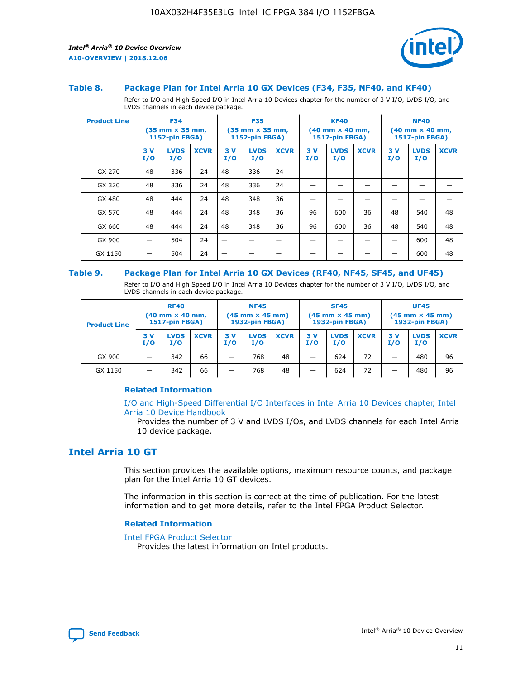



#### **Table 8. Package Plan for Intel Arria 10 GX Devices (F34, F35, NF40, and KF40)**

Refer to I/O and High Speed I/O in Intel Arria 10 Devices chapter for the number of 3 V I/O, LVDS I/O, and LVDS channels in each device package.

| <b>Product Line</b> | <b>F34</b><br>(35 mm × 35 mm,<br><b>1152-pin FBGA)</b> |                    | <b>F35</b><br>$(35$ mm $\times$ 35 mm,<br><b>1152-pin FBGA)</b> |           | <b>KF40</b><br>$(40 \text{ mm} \times 40 \text{ mm})$<br>1517-pin FBGA) |             |           | <b>NF40</b><br>$(40 \text{ mm} \times 40 \text{ mm})$<br><b>1517-pin FBGA)</b> |             |           |                    |             |
|---------------------|--------------------------------------------------------|--------------------|-----------------------------------------------------------------|-----------|-------------------------------------------------------------------------|-------------|-----------|--------------------------------------------------------------------------------|-------------|-----------|--------------------|-------------|
|                     | 3V<br>I/O                                              | <b>LVDS</b><br>I/O | <b>XCVR</b>                                                     | 3V<br>I/O | <b>LVDS</b><br>I/O                                                      | <b>XCVR</b> | 3V<br>I/O | <b>LVDS</b><br>I/O                                                             | <b>XCVR</b> | 3V<br>I/O | <b>LVDS</b><br>I/O | <b>XCVR</b> |
| GX 270              | 48                                                     | 336                | 24                                                              | 48        | 336                                                                     | 24          |           |                                                                                |             |           |                    |             |
| GX 320              | 48                                                     | 336                | 24                                                              | 48        | 336                                                                     | 24          |           |                                                                                |             |           |                    |             |
| GX 480              | 48                                                     | 444                | 24                                                              | 48        | 348                                                                     | 36          |           |                                                                                |             |           |                    |             |
| GX 570              | 48                                                     | 444                | 24                                                              | 48        | 348                                                                     | 36          | 96        | 600                                                                            | 36          | 48        | 540                | 48          |
| GX 660              | 48                                                     | 444                | 24                                                              | 48        | 348                                                                     | 36          | 96        | 600                                                                            | 36          | 48        | 540                | 48          |
| GX 900              |                                                        | 504                | 24                                                              | -         |                                                                         | -           |           |                                                                                |             |           | 600                | 48          |
| GX 1150             |                                                        | 504                | 24                                                              |           |                                                                         |             |           |                                                                                |             |           | 600                | 48          |

#### **Table 9. Package Plan for Intel Arria 10 GX Devices (RF40, NF45, SF45, and UF45)**

Refer to I/O and High Speed I/O in Intel Arria 10 Devices chapter for the number of 3 V I/O, LVDS I/O, and LVDS channels in each device package.

| <b>Product Line</b> | <b>RF40</b><br>$(40$ mm $\times$ 40 mm,<br>1517-pin FBGA) |                    | <b>NF45</b><br>$(45 \text{ mm} \times 45 \text{ mm})$<br><b>1932-pin FBGA)</b> |            |                    | <b>SF45</b><br>$(45 \text{ mm} \times 45 \text{ mm})$<br><b>1932-pin FBGA)</b> |            |                    | <b>UF45</b><br>$(45 \text{ mm} \times 45 \text{ mm})$<br><b>1932-pin FBGA)</b> |           |                    |             |
|---------------------|-----------------------------------------------------------|--------------------|--------------------------------------------------------------------------------|------------|--------------------|--------------------------------------------------------------------------------|------------|--------------------|--------------------------------------------------------------------------------|-----------|--------------------|-------------|
|                     | 3V<br>I/O                                                 | <b>LVDS</b><br>I/O | <b>XCVR</b>                                                                    | 3 V<br>I/O | <b>LVDS</b><br>I/O | <b>XCVR</b>                                                                    | 3 V<br>I/O | <b>LVDS</b><br>I/O | <b>XCVR</b>                                                                    | 3V<br>I/O | <b>LVDS</b><br>I/O | <b>XCVR</b> |
| GX 900              |                                                           | 342                | 66                                                                             | _          | 768                | 48                                                                             |            | 624                | 72                                                                             |           | 480                | 96          |
| GX 1150             |                                                           | 342                | 66                                                                             | _          | 768                | 48                                                                             |            | 624                | 72                                                                             |           | 480                | 96          |

#### **Related Information**

[I/O and High-Speed Differential I/O Interfaces in Intel Arria 10 Devices chapter, Intel](https://www.intel.com/content/www/us/en/programmable/documentation/sam1403482614086.html#sam1403482030321) [Arria 10 Device Handbook](https://www.intel.com/content/www/us/en/programmable/documentation/sam1403482614086.html#sam1403482030321)

Provides the number of 3 V and LVDS I/Os, and LVDS channels for each Intel Arria 10 device package.

## **Intel Arria 10 GT**

This section provides the available options, maximum resource counts, and package plan for the Intel Arria 10 GT devices.

The information in this section is correct at the time of publication. For the latest information and to get more details, refer to the Intel FPGA Product Selector.

#### **Related Information**

#### [Intel FPGA Product Selector](http://www.altera.com/products/selector/psg-selector.html)

Provides the latest information on Intel products.

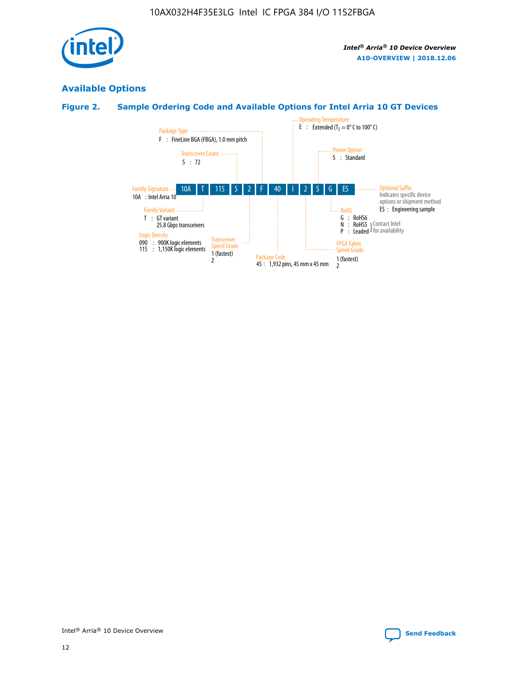

## **Available Options**

## **Figure 2. Sample Ordering Code and Available Options for Intel Arria 10 GT Devices**

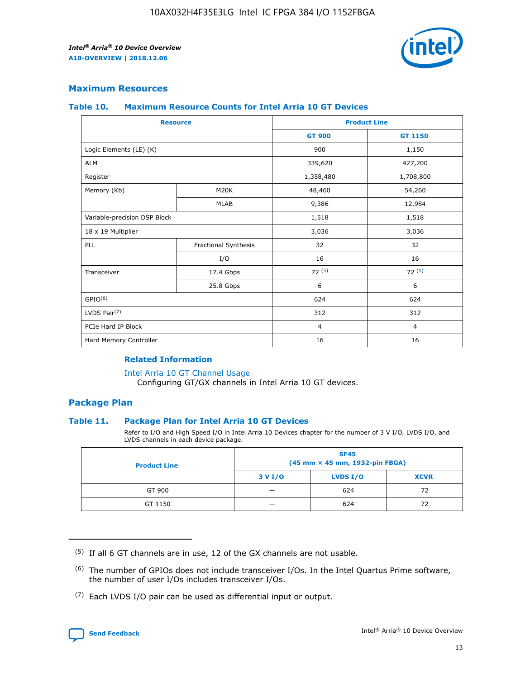

#### **Maximum Resources**

#### **Table 10. Maximum Resource Counts for Intel Arria 10 GT Devices**

| <b>Resource</b>              |                      |                | <b>Product Line</b> |  |
|------------------------------|----------------------|----------------|---------------------|--|
|                              |                      | <b>GT 900</b>  | <b>GT 1150</b>      |  |
| Logic Elements (LE) (K)      |                      | 900            | 1,150               |  |
| <b>ALM</b>                   |                      | 339,620        | 427,200             |  |
| Register                     |                      | 1,358,480      | 1,708,800           |  |
| Memory (Kb)                  | M20K                 | 48,460         | 54,260              |  |
|                              | <b>MLAB</b>          | 9,386          | 12,984              |  |
| Variable-precision DSP Block |                      | 1,518          | 1,518               |  |
| 18 x 19 Multiplier           |                      | 3,036          | 3,036               |  |
| <b>PLL</b>                   | Fractional Synthesis | 32             | 32                  |  |
|                              | I/O                  | 16             | 16                  |  |
| Transceiver                  | 17.4 Gbps            | 72(5)          | 72(5)               |  |
|                              | 25.8 Gbps            | 6              | 6                   |  |
| GPIO <sup>(6)</sup>          |                      | 624            | 624                 |  |
| LVDS Pair $(7)$              |                      | 312            | 312                 |  |
| PCIe Hard IP Block           |                      | $\overline{4}$ | $\overline{4}$      |  |
| Hard Memory Controller       |                      | 16             | 16                  |  |

#### **Related Information**

#### [Intel Arria 10 GT Channel Usage](https://www.intel.com/content/www/us/en/programmable/documentation/nik1398707230472.html#nik1398707008178)

Configuring GT/GX channels in Intel Arria 10 GT devices.

#### **Package Plan**

#### **Table 11. Package Plan for Intel Arria 10 GT Devices**

Refer to I/O and High Speed I/O in Intel Arria 10 Devices chapter for the number of 3 V I/O, LVDS I/O, and LVDS channels in each device package.

| <b>Product Line</b> | <b>SF45</b><br>(45 mm × 45 mm, 1932-pin FBGA) |                 |             |  |  |  |
|---------------------|-----------------------------------------------|-----------------|-------------|--|--|--|
|                     | 3 V I/O                                       | <b>LVDS I/O</b> | <b>XCVR</b> |  |  |  |
| GT 900              |                                               | 624             | 72          |  |  |  |
| GT 1150             |                                               | 624             |             |  |  |  |

<sup>(7)</sup> Each LVDS I/O pair can be used as differential input or output.



 $(5)$  If all 6 GT channels are in use, 12 of the GX channels are not usable.

<sup>(6)</sup> The number of GPIOs does not include transceiver I/Os. In the Intel Quartus Prime software, the number of user I/Os includes transceiver I/Os.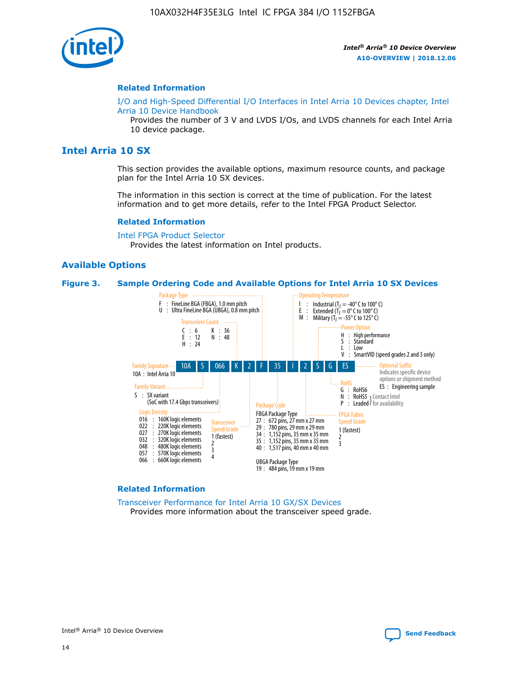

#### **Related Information**

[I/O and High-Speed Differential I/O Interfaces in Intel Arria 10 Devices chapter, Intel](https://www.intel.com/content/www/us/en/programmable/documentation/sam1403482614086.html#sam1403482030321) [Arria 10 Device Handbook](https://www.intel.com/content/www/us/en/programmable/documentation/sam1403482614086.html#sam1403482030321)

Provides the number of 3 V and LVDS I/Os, and LVDS channels for each Intel Arria 10 device package.

## **Intel Arria 10 SX**

This section provides the available options, maximum resource counts, and package plan for the Intel Arria 10 SX devices.

The information in this section is correct at the time of publication. For the latest information and to get more details, refer to the Intel FPGA Product Selector.

#### **Related Information**

[Intel FPGA Product Selector](http://www.altera.com/products/selector/psg-selector.html) Provides the latest information on Intel products.

#### **Available Options**

#### **Figure 3. Sample Ordering Code and Available Options for Intel Arria 10 SX Devices**



#### **Related Information**

[Transceiver Performance for Intel Arria 10 GX/SX Devices](https://www.intel.com/content/www/us/en/programmable/documentation/mcn1413182292568.html#mcn1413213965502) Provides more information about the transceiver speed grade.

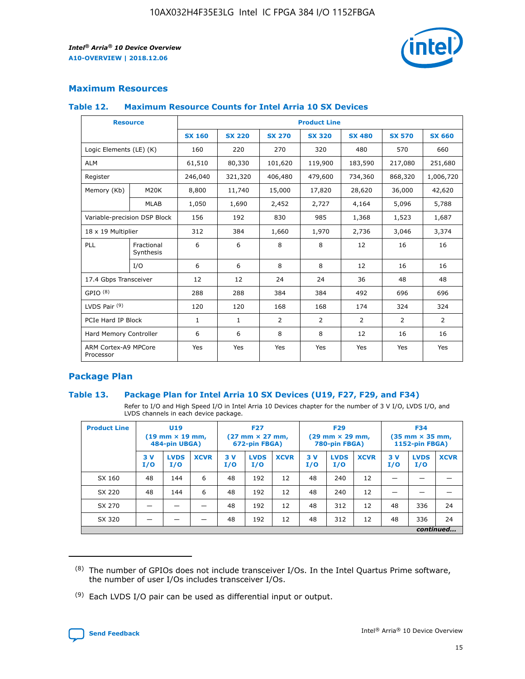

#### **Maximum Resources**

#### **Table 12. Maximum Resource Counts for Intel Arria 10 SX Devices**

| <b>Resource</b>                   |                         | <b>Product Line</b> |               |               |                |               |               |               |  |  |  |
|-----------------------------------|-------------------------|---------------------|---------------|---------------|----------------|---------------|---------------|---------------|--|--|--|
|                                   |                         | <b>SX 160</b>       | <b>SX 220</b> | <b>SX 270</b> | <b>SX 320</b>  | <b>SX 480</b> | <b>SX 570</b> | <b>SX 660</b> |  |  |  |
| Logic Elements (LE) (K)           |                         | 160                 | 220           | 270           | 320            | 480           | 570           | 660           |  |  |  |
| <b>ALM</b>                        |                         | 61,510              | 80,330        | 101,620       | 119,900        | 183,590       | 217,080       | 251,680       |  |  |  |
| Register                          |                         | 246,040             | 321,320       | 406,480       | 479,600        | 734,360       | 868,320       | 1,006,720     |  |  |  |
| Memory (Kb)                       | M20K                    | 8,800               | 11,740        | 15,000        | 17,820         | 28,620        | 36,000        | 42,620        |  |  |  |
|                                   | <b>MLAB</b>             | 1,050               | 1,690         | 2,452         | 2,727          | 4,164         | 5,096         | 5,788         |  |  |  |
| Variable-precision DSP Block      |                         | 156                 | 192           | 830           | 985            | 1,368         | 1,523         | 1,687         |  |  |  |
| 18 x 19 Multiplier                |                         | 312                 | 384           | 1,660         | 1,970          | 2,736         | 3,046         | 3,374         |  |  |  |
| PLL                               | Fractional<br>Synthesis | 6                   | 6             | 8             | 8              | 12            | 16            | 16            |  |  |  |
|                                   | I/O                     | 6                   | 6             | 8             | 8              | 12            | 16            | 16            |  |  |  |
| 17.4 Gbps Transceiver             |                         | 12                  | 12            | 24            | 24             | 36            | 48            | 48            |  |  |  |
| GPIO <sup>(8)</sup>               |                         | 288                 | 288           | 384           | 384            | 492           | 696           | 696           |  |  |  |
| LVDS Pair $(9)$                   |                         | 120                 | 120           | 168           | 168            | 174           | 324           | 324           |  |  |  |
| PCIe Hard IP Block                |                         | $\mathbf{1}$        | $\mathbf{1}$  | 2             | $\overline{2}$ | 2             | 2             | 2             |  |  |  |
| Hard Memory Controller            |                         | 6                   | 6             | 8             | 8              | 12            | 16            | 16            |  |  |  |
| ARM Cortex-A9 MPCore<br>Processor |                         | Yes                 | Yes           | Yes           | Yes            | Yes           | Yes           | Yes           |  |  |  |

#### **Package Plan**

#### **Table 13. Package Plan for Intel Arria 10 SX Devices (U19, F27, F29, and F34)**

Refer to I/O and High Speed I/O in Intel Arria 10 Devices chapter for the number of 3 V I/O, LVDS I/O, and LVDS channels in each device package.

| <b>Product Line</b> | U19<br>$(19 \text{ mm} \times 19 \text{ mm})$<br>484-pin UBGA) |                    | <b>F27</b><br>$(27 \text{ mm} \times 27 \text{ mm})$<br>672-pin FBGA) |           | <b>F29</b><br>$(29 \text{ mm} \times 29 \text{ mm})$<br>780-pin FBGA) |             |            | <b>F34</b><br>$(35 \text{ mm} \times 35 \text{ mm})$<br><b>1152-pin FBGA)</b> |             |           |                    |             |
|---------------------|----------------------------------------------------------------|--------------------|-----------------------------------------------------------------------|-----------|-----------------------------------------------------------------------|-------------|------------|-------------------------------------------------------------------------------|-------------|-----------|--------------------|-------------|
|                     | 3V<br>I/O                                                      | <b>LVDS</b><br>I/O | <b>XCVR</b>                                                           | 3V<br>I/O | <b>LVDS</b><br>I/O                                                    | <b>XCVR</b> | 3 V<br>I/O | <b>LVDS</b><br>I/O                                                            | <b>XCVR</b> | 3V<br>I/O | <b>LVDS</b><br>I/O | <b>XCVR</b> |
| SX 160              | 48                                                             | 144                | 6                                                                     | 48        | 192                                                                   | 12          | 48         | 240                                                                           | 12          | –         |                    |             |
| SX 220              | 48                                                             | 144                | 6                                                                     | 48        | 192                                                                   | 12          | 48         | 240                                                                           | 12          |           |                    |             |
| SX 270              |                                                                |                    |                                                                       | 48        | 192                                                                   | 12          | 48         | 312                                                                           | 12          | 48        | 336                | 24          |
| SX 320              |                                                                |                    |                                                                       | 48        | 192                                                                   | 12          | 48         | 312                                                                           | 12          | 48        | 336                | 24          |
|                     | continued                                                      |                    |                                                                       |           |                                                                       |             |            |                                                                               |             |           |                    |             |

 $(8)$  The number of GPIOs does not include transceiver I/Os. In the Intel Quartus Prime software, the number of user I/Os includes transceiver I/Os.

 $(9)$  Each LVDS I/O pair can be used as differential input or output.

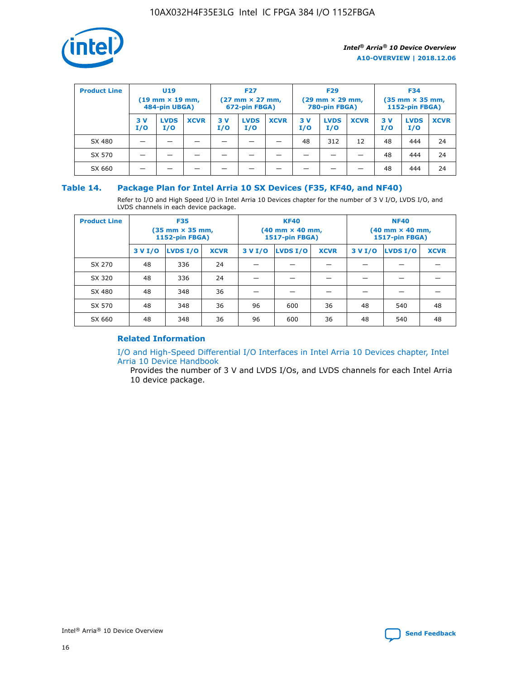

| <b>Product Line</b> | U <sub>19</sub><br>$(19 \text{ mm} \times 19 \text{ mm})$<br>484-pin UBGA) |                    | <b>F27</b><br>$(27 \text{ mm} \times 27 \text{ mm})$<br>672-pin FBGA) |           | <b>F29</b><br>$(29 \text{ mm} \times 29 \text{ mm})$<br>780-pin FBGA) |             |           | <b>F34</b><br>$(35 \text{ mm} \times 35 \text{ mm})$<br><b>1152-pin FBGA)</b> |             |           |                    |             |
|---------------------|----------------------------------------------------------------------------|--------------------|-----------------------------------------------------------------------|-----------|-----------------------------------------------------------------------|-------------|-----------|-------------------------------------------------------------------------------|-------------|-----------|--------------------|-------------|
|                     | 3 V<br>I/O                                                                 | <b>LVDS</b><br>I/O | <b>XCVR</b>                                                           | 3V<br>I/O | <b>LVDS</b><br>I/O                                                    | <b>XCVR</b> | 3V<br>I/O | <b>LVDS</b><br>I/O                                                            | <b>XCVR</b> | 3V<br>I/O | <b>LVDS</b><br>I/O | <b>XCVR</b> |
| SX 480              |                                                                            |                    |                                                                       |           |                                                                       |             | 48        | 312                                                                           | 12          | 48        | 444                | 24          |
| SX 570              |                                                                            |                    |                                                                       |           |                                                                       |             |           |                                                                               |             | 48        | 444                | 24          |
| SX 660              |                                                                            |                    |                                                                       |           |                                                                       |             |           |                                                                               |             | 48        | 444                | 24          |

#### **Table 14. Package Plan for Intel Arria 10 SX Devices (F35, KF40, and NF40)**

Refer to I/O and High Speed I/O in Intel Arria 10 Devices chapter for the number of 3 V I/O, LVDS I/O, and LVDS channels in each device package.

| <b>Product Line</b> | <b>F35</b><br>$(35 \text{ mm} \times 35 \text{ mm})$<br><b>1152-pin FBGA)</b> |          |             |                                           | <b>KF40</b><br>(40 mm × 40 mm,<br>1517-pin FBGA) |    | <b>NF40</b><br>$(40 \text{ mm} \times 40 \text{ mm})$<br>1517-pin FBGA) |          |             |  |
|---------------------|-------------------------------------------------------------------------------|----------|-------------|-------------------------------------------|--------------------------------------------------|----|-------------------------------------------------------------------------|----------|-------------|--|
|                     | 3 V I/O                                                                       | LVDS I/O | <b>XCVR</b> | <b>LVDS I/O</b><br><b>XCVR</b><br>3 V I/O |                                                  |    | 3 V I/O                                                                 | LVDS I/O | <b>XCVR</b> |  |
| SX 270              | 48                                                                            | 336      | 24          |                                           |                                                  |    |                                                                         |          |             |  |
| SX 320              | 48                                                                            | 336      | 24          |                                           |                                                  |    |                                                                         |          |             |  |
| SX 480              | 48                                                                            | 348      | 36          |                                           |                                                  |    |                                                                         |          |             |  |
| SX 570              | 48                                                                            | 348      | 36          | 96                                        | 600                                              | 36 | 48                                                                      | 540      | 48          |  |
| SX 660              | 48                                                                            | 348      | 36          | 96                                        | 600                                              | 36 | 48                                                                      | 540      | 48          |  |

## **Related Information**

[I/O and High-Speed Differential I/O Interfaces in Intel Arria 10 Devices chapter, Intel](https://www.intel.com/content/www/us/en/programmable/documentation/sam1403482614086.html#sam1403482030321) [Arria 10 Device Handbook](https://www.intel.com/content/www/us/en/programmable/documentation/sam1403482614086.html#sam1403482030321)

Provides the number of 3 V and LVDS I/Os, and LVDS channels for each Intel Arria 10 device package.

Intel<sup>®</sup> Arria<sup>®</sup> 10 Device Overview **[Send Feedback](mailto:FPGAtechdocfeedback@intel.com?subject=Feedback%20on%20Intel%20Arria%2010%20Device%20Overview%20(A10-OVERVIEW%202018.12.06)&body=We%20appreciate%20your%20feedback.%20In%20your%20comments,%20also%20specify%20the%20page%20number%20or%20paragraph.%20Thank%20you.)** Send Feedback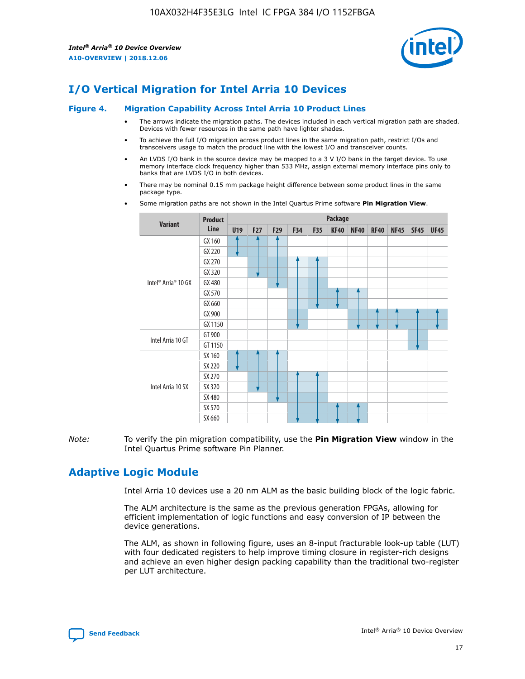

## **I/O Vertical Migration for Intel Arria 10 Devices**

#### **Figure 4. Migration Capability Across Intel Arria 10 Product Lines**

- The arrows indicate the migration paths. The devices included in each vertical migration path are shaded. Devices with fewer resources in the same path have lighter shades.
- To achieve the full I/O migration across product lines in the same migration path, restrict I/Os and transceivers usage to match the product line with the lowest I/O and transceiver counts.
- An LVDS I/O bank in the source device may be mapped to a 3 V I/O bank in the target device. To use memory interface clock frequency higher than 533 MHz, assign external memory interface pins only to banks that are LVDS I/O in both devices.
- There may be nominal 0.15 mm package height difference between some product lines in the same package type.
	- **Variant Product Line Package U19 F27 F29 F34 F35 KF40 NF40 RF40 NF45 SF45 UF45** Intel® Arria® 10 GX GX 160 GX 220 GX 270 GX 320 GX 480 GX 570 GX 660 GX 900 GX 1150 Intel Arria 10 GT GT 900 GT 1150 Intel Arria 10 SX SX 160 SX 220 SX 270 SX 320 SX 480 SX 570 SX 660
- Some migration paths are not shown in the Intel Quartus Prime software **Pin Migration View**.

*Note:* To verify the pin migration compatibility, use the **Pin Migration View** window in the Intel Quartus Prime software Pin Planner.

## **Adaptive Logic Module**

Intel Arria 10 devices use a 20 nm ALM as the basic building block of the logic fabric.

The ALM architecture is the same as the previous generation FPGAs, allowing for efficient implementation of logic functions and easy conversion of IP between the device generations.

The ALM, as shown in following figure, uses an 8-input fracturable look-up table (LUT) with four dedicated registers to help improve timing closure in register-rich designs and achieve an even higher design packing capability than the traditional two-register per LUT architecture.

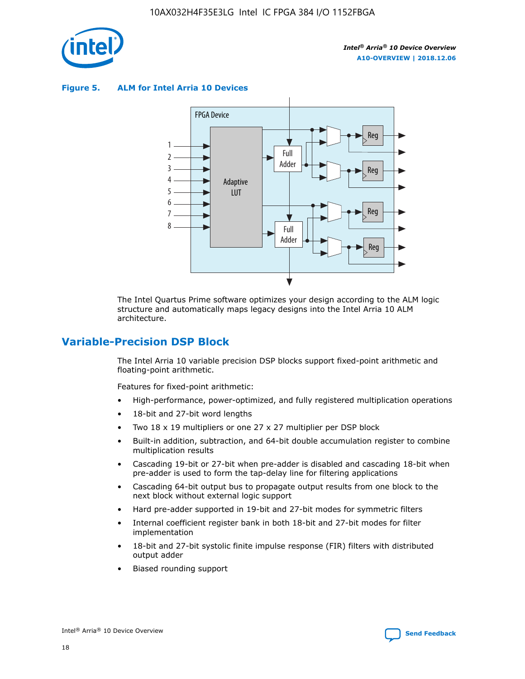

**Figure 5. ALM for Intel Arria 10 Devices**



The Intel Quartus Prime software optimizes your design according to the ALM logic structure and automatically maps legacy designs into the Intel Arria 10 ALM architecture.

## **Variable-Precision DSP Block**

The Intel Arria 10 variable precision DSP blocks support fixed-point arithmetic and floating-point arithmetic.

Features for fixed-point arithmetic:

- High-performance, power-optimized, and fully registered multiplication operations
- 18-bit and 27-bit word lengths
- Two 18 x 19 multipliers or one 27 x 27 multiplier per DSP block
- Built-in addition, subtraction, and 64-bit double accumulation register to combine multiplication results
- Cascading 19-bit or 27-bit when pre-adder is disabled and cascading 18-bit when pre-adder is used to form the tap-delay line for filtering applications
- Cascading 64-bit output bus to propagate output results from one block to the next block without external logic support
- Hard pre-adder supported in 19-bit and 27-bit modes for symmetric filters
- Internal coefficient register bank in both 18-bit and 27-bit modes for filter implementation
- 18-bit and 27-bit systolic finite impulse response (FIR) filters with distributed output adder
- Biased rounding support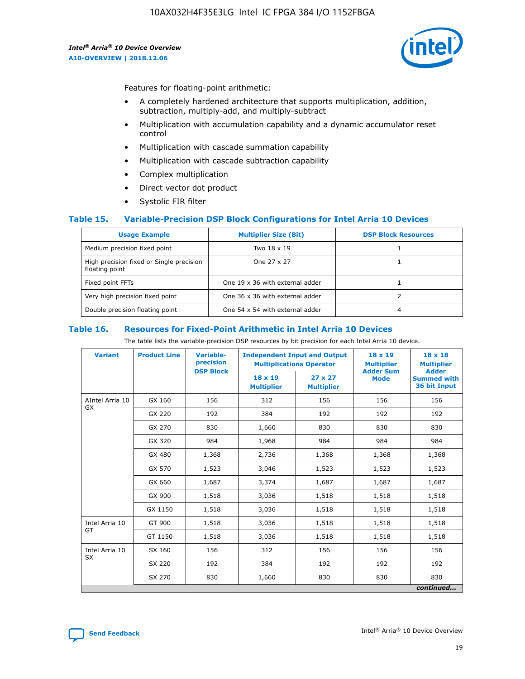

Features for floating-point arithmetic:

- A completely hardened architecture that supports multiplication, addition, subtraction, multiply-add, and multiply-subtract
- Multiplication with accumulation capability and a dynamic accumulator reset control
- Multiplication with cascade summation capability
- Multiplication with cascade subtraction capability
- Complex multiplication
- Direct vector dot product
- Systolic FIR filter

#### **Table 15. Variable-Precision DSP Block Configurations for Intel Arria 10 Devices**

| <b>Usage Example</b>                                       | <b>Multiplier Size (Bit)</b>    | <b>DSP Block Resources</b> |
|------------------------------------------------------------|---------------------------------|----------------------------|
| Medium precision fixed point                               | Two 18 x 19                     |                            |
| High precision fixed or Single precision<br>floating point | One 27 x 27                     |                            |
| Fixed point FFTs                                           | One 19 x 36 with external adder |                            |
| Very high precision fixed point                            | One 36 x 36 with external adder |                            |
| Double precision floating point                            | One 54 x 54 with external adder | 4                          |

#### **Table 16. Resources for Fixed-Point Arithmetic in Intel Arria 10 Devices**

The table lists the variable-precision DSP resources by bit precision for each Intel Arria 10 device.

| <b>Variant</b>  | <b>Product Line</b> | Variable-<br>precision<br><b>DSP Block</b> | <b>Independent Input and Output</b><br><b>Multiplications Operator</b> |                                     | 18 x 19<br><b>Multiplier</b><br><b>Adder Sum</b> | $18 \times 18$<br><b>Multiplier</b><br><b>Adder</b> |
|-----------------|---------------------|--------------------------------------------|------------------------------------------------------------------------|-------------------------------------|--------------------------------------------------|-----------------------------------------------------|
|                 |                     |                                            | 18 x 19<br><b>Multiplier</b>                                           | $27 \times 27$<br><b>Multiplier</b> | <b>Mode</b>                                      | <b>Summed with</b><br>36 bit Input                  |
| AIntel Arria 10 | GX 160              | 156                                        | 312                                                                    | 156                                 | 156                                              | 156                                                 |
| GX              | GX 220              | 192                                        | 384                                                                    | 192                                 | 192                                              | 192                                                 |
|                 | GX 270              | 830                                        | 1,660                                                                  | 830                                 | 830                                              | 830                                                 |
|                 | GX 320              | 984                                        | 1,968                                                                  | 984                                 | 984                                              | 984                                                 |
|                 | GX 480              | 1,368                                      | 2,736                                                                  | 1,368                               | 1,368                                            | 1,368                                               |
|                 | GX 570              | 1,523                                      | 3,046                                                                  | 1,523                               | 1,523                                            | 1,523                                               |
|                 | GX 660              | 1,687                                      | 3,374                                                                  | 1,687                               | 1,687                                            | 1,687                                               |
|                 | GX 900              | 1,518                                      | 3,036                                                                  | 1,518                               | 1,518                                            | 1,518                                               |
|                 | GX 1150             | 1,518                                      | 3,036                                                                  | 1,518                               | 1,518                                            | 1,518                                               |
| Intel Arria 10  | GT 900              | 1,518                                      | 3,036                                                                  | 1,518                               | 1,518                                            | 1,518                                               |
| GT              | GT 1150             | 1,518                                      | 3,036                                                                  | 1,518                               | 1,518                                            | 1,518                                               |
| Intel Arria 10  | SX 160              | 156                                        | 312                                                                    | 156                                 | 156                                              | 156                                                 |
| <b>SX</b>       | SX 220<br>192       |                                            | 384                                                                    | 192                                 | 192                                              | 192                                                 |
|                 | SX 270              | 830                                        | 1,660                                                                  | 830                                 | 830                                              | 830                                                 |
|                 |                     |                                            |                                                                        |                                     |                                                  | continued                                           |

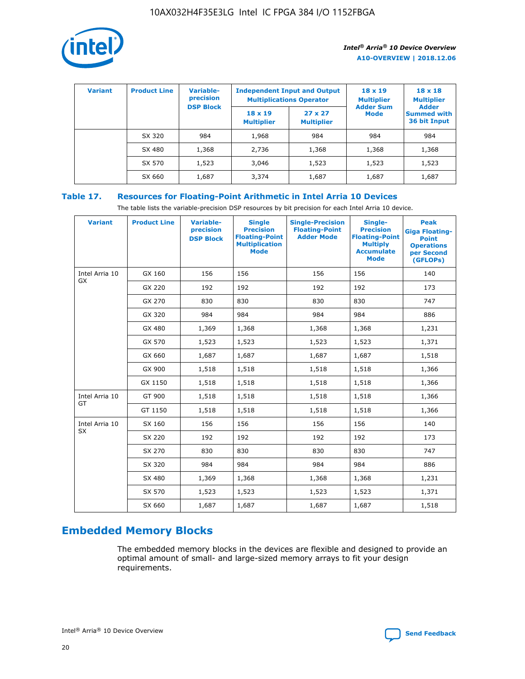

| <b>Variant</b> | <b>Product Line</b> | Variable-<br>precision | <b>Multiplications Operator</b>     | <b>Independent Input and Output</b> | $18 \times 19$<br><b>Multiplier</b> | $18 \times 18$<br><b>Multiplier</b><br><b>Adder</b> |  |
|----------------|---------------------|------------------------|-------------------------------------|-------------------------------------|-------------------------------------|-----------------------------------------------------|--|
|                |                     | <b>DSP Block</b>       | $18 \times 19$<br><b>Multiplier</b> | $27 \times 27$<br><b>Multiplier</b> | <b>Adder Sum</b><br><b>Mode</b>     | <b>Summed with</b><br>36 bit Input                  |  |
|                | SX 320              | 984                    | 1,968                               | 984                                 | 984                                 | 984                                                 |  |
|                | SX 480              | 1,368                  | 2,736                               | 1,368                               | 1,368                               | 1,368                                               |  |
|                | SX 570              | 1,523                  | 3,046                               | 1,523                               | 1,523                               | 1,523                                               |  |
|                | SX 660              | 1,687                  | 3,374                               | 1,687                               | 1,687                               | 1,687                                               |  |

## **Table 17. Resources for Floating-Point Arithmetic in Intel Arria 10 Devices**

The table lists the variable-precision DSP resources by bit precision for each Intel Arria 10 device.

| <b>Variant</b>              | <b>Product Line</b> | <b>Variable-</b><br>precision<br><b>DSP Block</b> | <b>Single</b><br><b>Precision</b><br><b>Floating-Point</b><br><b>Multiplication</b><br><b>Mode</b> | <b>Single-Precision</b><br><b>Floating-Point</b><br><b>Adder Mode</b> | Single-<br><b>Precision</b><br><b>Floating-Point</b><br><b>Multiply</b><br><b>Accumulate</b><br><b>Mode</b> | <b>Peak</b><br><b>Giga Floating-</b><br><b>Point</b><br><b>Operations</b><br>per Second<br>(GFLOPs) |
|-----------------------------|---------------------|---------------------------------------------------|----------------------------------------------------------------------------------------------------|-----------------------------------------------------------------------|-------------------------------------------------------------------------------------------------------------|-----------------------------------------------------------------------------------------------------|
| Intel Arria 10<br>GX        | GX 160              | 156                                               | 156                                                                                                | 156                                                                   | 156                                                                                                         | 140                                                                                                 |
|                             | GX 220              | 192                                               | 192                                                                                                | 192                                                                   | 192                                                                                                         | 173                                                                                                 |
|                             | GX 270              | 830                                               | 830                                                                                                | 830                                                                   | 830                                                                                                         | 747                                                                                                 |
|                             | GX 320              | 984                                               | 984                                                                                                | 984                                                                   | 984                                                                                                         | 886                                                                                                 |
|                             | GX 480              | 1,369                                             | 1,368                                                                                              | 1,368                                                                 | 1,368                                                                                                       | 1,231                                                                                               |
|                             | GX 570              | 1,523                                             | 1,523                                                                                              | 1,523                                                                 | 1,523                                                                                                       | 1,371                                                                                               |
|                             | GX 660              | 1,687                                             | 1,687                                                                                              | 1,687                                                                 | 1,687                                                                                                       | 1,518                                                                                               |
|                             | GX 900              | 1,518                                             | 1,518                                                                                              | 1,518                                                                 | 1,518                                                                                                       | 1,366                                                                                               |
|                             | GX 1150             | 1,518                                             | 1,518                                                                                              | 1,518                                                                 | 1,518                                                                                                       | 1,366                                                                                               |
| Intel Arria 10              | GT 900              | 1,518                                             | 1,518                                                                                              | 1,518                                                                 | 1,518                                                                                                       | 1,366                                                                                               |
| GT                          | GT 1150             | 1,518                                             | 1,518                                                                                              | 1,518                                                                 | 1,518                                                                                                       | 1,366                                                                                               |
| Intel Arria 10<br><b>SX</b> | SX 160              | 156                                               | 156                                                                                                | 156                                                                   | 156                                                                                                         | 140                                                                                                 |
|                             | SX 220              | 192                                               | 192                                                                                                | 192                                                                   | 192                                                                                                         | 173                                                                                                 |
|                             | SX 270              | 830                                               | 830                                                                                                | 830                                                                   | 830                                                                                                         | 747                                                                                                 |
|                             | SX 320              | 984                                               | 984                                                                                                | 984                                                                   | 984                                                                                                         | 886                                                                                                 |
|                             | SX 480              | 1,369                                             | 1,368                                                                                              | 1,368                                                                 | 1,368                                                                                                       | 1,231                                                                                               |
|                             | SX 570              | 1,523                                             | 1,523                                                                                              | 1,523                                                                 | 1,523                                                                                                       | 1,371                                                                                               |
|                             | SX 660              | 1,687                                             | 1,687                                                                                              | 1,687                                                                 | 1,687                                                                                                       | 1,518                                                                                               |

# **Embedded Memory Blocks**

The embedded memory blocks in the devices are flexible and designed to provide an optimal amount of small- and large-sized memory arrays to fit your design requirements.

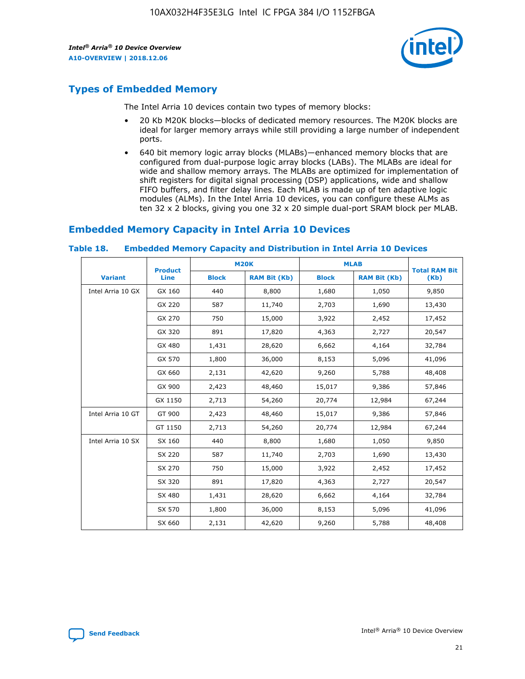

## **Types of Embedded Memory**

The Intel Arria 10 devices contain two types of memory blocks:

- 20 Kb M20K blocks—blocks of dedicated memory resources. The M20K blocks are ideal for larger memory arrays while still providing a large number of independent ports.
- 640 bit memory logic array blocks (MLABs)—enhanced memory blocks that are configured from dual-purpose logic array blocks (LABs). The MLABs are ideal for wide and shallow memory arrays. The MLABs are optimized for implementation of shift registers for digital signal processing (DSP) applications, wide and shallow FIFO buffers, and filter delay lines. Each MLAB is made up of ten adaptive logic modules (ALMs). In the Intel Arria 10 devices, you can configure these ALMs as ten 32 x 2 blocks, giving you one 32 x 20 simple dual-port SRAM block per MLAB.

## **Embedded Memory Capacity in Intel Arria 10 Devices**

|                   | <b>Product</b> | <b>M20K</b>  |                     | <b>MLAB</b>  |                     | <b>Total RAM Bit</b> |
|-------------------|----------------|--------------|---------------------|--------------|---------------------|----------------------|
| <b>Variant</b>    | <b>Line</b>    | <b>Block</b> | <b>RAM Bit (Kb)</b> | <b>Block</b> | <b>RAM Bit (Kb)</b> | (Kb)                 |
| Intel Arria 10 GX | GX 160         | 440          | 8,800               | 1,680        | 1,050               | 9,850                |
|                   | GX 220         | 587          | 11,740              | 2,703        | 1,690               | 13,430               |
|                   | GX 270         | 750          | 15,000              | 3,922        | 2,452               | 17,452               |
|                   | GX 320         | 891          | 17,820              | 4,363        | 2,727               | 20,547               |
|                   | GX 480         | 1,431        | 28,620              | 6,662        | 4,164               | 32,784               |
|                   | GX 570         | 1,800        | 36,000              | 8,153        | 5,096               | 41,096               |
|                   | GX 660         | 2,131        | 42,620              | 9,260        | 5,788               | 48,408               |
|                   | GX 900         | 2,423        | 48,460              | 15,017       | 9,386               | 57,846               |
|                   | GX 1150        | 2,713        | 54,260              | 20,774       | 12,984              | 67,244               |
| Intel Arria 10 GT | GT 900         | 2,423        | 48,460              | 15,017       | 9,386               | 57,846               |
|                   | GT 1150        | 2,713        | 54,260              | 20,774       | 12,984              | 67,244               |
| Intel Arria 10 SX | SX 160         | 440          | 8,800               | 1,680        | 1,050               | 9,850                |
|                   | SX 220         | 587          | 11,740              | 2,703        | 1,690               | 13,430               |
|                   | SX 270         | 750          | 15,000              | 3,922        | 2,452               | 17,452               |
|                   | SX 320         | 891          | 17,820              | 4,363        | 2,727               | 20,547               |
|                   | SX 480         | 1,431        | 28,620              | 6,662        | 4,164               | 32,784               |
|                   | SX 570         | 1,800        | 36,000              | 8,153        | 5,096               | 41,096               |
|                   | SX 660         | 2,131        | 42,620              | 9,260        | 5,788               | 48,408               |

#### **Table 18. Embedded Memory Capacity and Distribution in Intel Arria 10 Devices**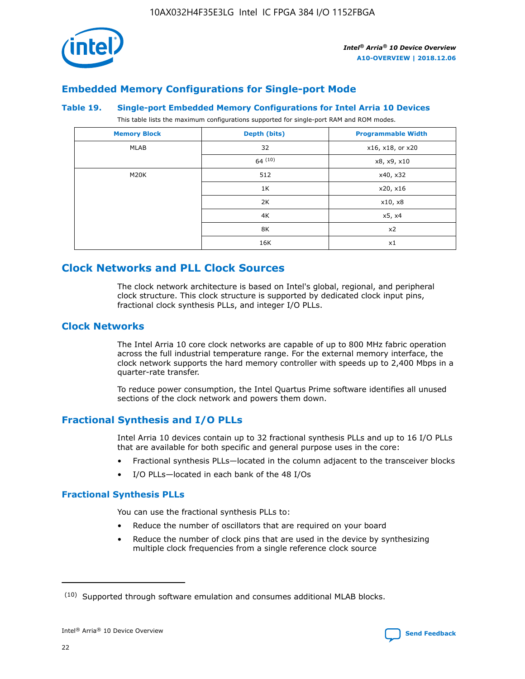

## **Embedded Memory Configurations for Single-port Mode**

#### **Table 19. Single-port Embedded Memory Configurations for Intel Arria 10 Devices**

This table lists the maximum configurations supported for single-port RAM and ROM modes.

| <b>Memory Block</b> | Depth (bits) | <b>Programmable Width</b> |
|---------------------|--------------|---------------------------|
| MLAB                | 32           | x16, x18, or x20          |
|                     | 64(10)       | x8, x9, x10               |
| M20K                | 512          | x40, x32                  |
|                     | 1K           | x20, x16                  |
|                     | 2K           | x10, x8                   |
|                     | 4K           | x5, x4                    |
|                     | 8K           | x2                        |
|                     | 16K          | x1                        |

## **Clock Networks and PLL Clock Sources**

The clock network architecture is based on Intel's global, regional, and peripheral clock structure. This clock structure is supported by dedicated clock input pins, fractional clock synthesis PLLs, and integer I/O PLLs.

#### **Clock Networks**

The Intel Arria 10 core clock networks are capable of up to 800 MHz fabric operation across the full industrial temperature range. For the external memory interface, the clock network supports the hard memory controller with speeds up to 2,400 Mbps in a quarter-rate transfer.

To reduce power consumption, the Intel Quartus Prime software identifies all unused sections of the clock network and powers them down.

#### **Fractional Synthesis and I/O PLLs**

Intel Arria 10 devices contain up to 32 fractional synthesis PLLs and up to 16 I/O PLLs that are available for both specific and general purpose uses in the core:

- Fractional synthesis PLLs—located in the column adjacent to the transceiver blocks
- I/O PLLs—located in each bank of the 48 I/Os

#### **Fractional Synthesis PLLs**

You can use the fractional synthesis PLLs to:

- Reduce the number of oscillators that are required on your board
- Reduce the number of clock pins that are used in the device by synthesizing multiple clock frequencies from a single reference clock source

<sup>(10)</sup> Supported through software emulation and consumes additional MLAB blocks.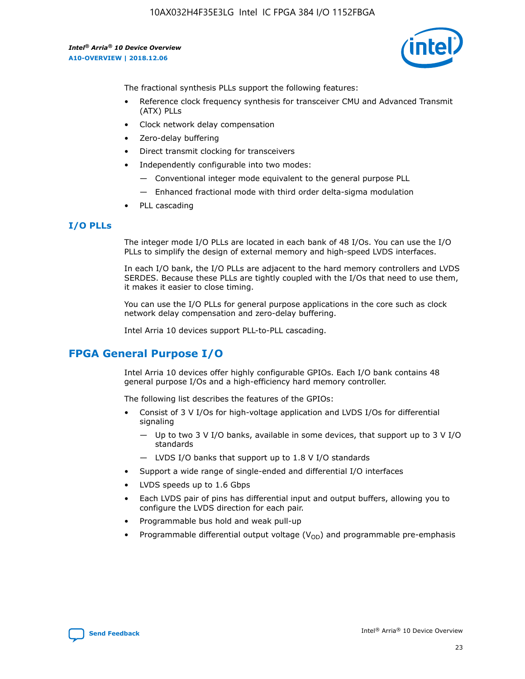

The fractional synthesis PLLs support the following features:

- Reference clock frequency synthesis for transceiver CMU and Advanced Transmit (ATX) PLLs
- Clock network delay compensation
- Zero-delay buffering
- Direct transmit clocking for transceivers
- Independently configurable into two modes:
	- Conventional integer mode equivalent to the general purpose PLL
	- Enhanced fractional mode with third order delta-sigma modulation
- PLL cascading

#### **I/O PLLs**

The integer mode I/O PLLs are located in each bank of 48 I/Os. You can use the I/O PLLs to simplify the design of external memory and high-speed LVDS interfaces.

In each I/O bank, the I/O PLLs are adjacent to the hard memory controllers and LVDS SERDES. Because these PLLs are tightly coupled with the I/Os that need to use them, it makes it easier to close timing.

You can use the I/O PLLs for general purpose applications in the core such as clock network delay compensation and zero-delay buffering.

Intel Arria 10 devices support PLL-to-PLL cascading.

## **FPGA General Purpose I/O**

Intel Arria 10 devices offer highly configurable GPIOs. Each I/O bank contains 48 general purpose I/Os and a high-efficiency hard memory controller.

The following list describes the features of the GPIOs:

- Consist of 3 V I/Os for high-voltage application and LVDS I/Os for differential signaling
	- Up to two 3 V I/O banks, available in some devices, that support up to 3 V I/O standards
	- LVDS I/O banks that support up to 1.8 V I/O standards
- Support a wide range of single-ended and differential I/O interfaces
- LVDS speeds up to 1.6 Gbps
- Each LVDS pair of pins has differential input and output buffers, allowing you to configure the LVDS direction for each pair.
- Programmable bus hold and weak pull-up
- Programmable differential output voltage  $(V_{OD})$  and programmable pre-emphasis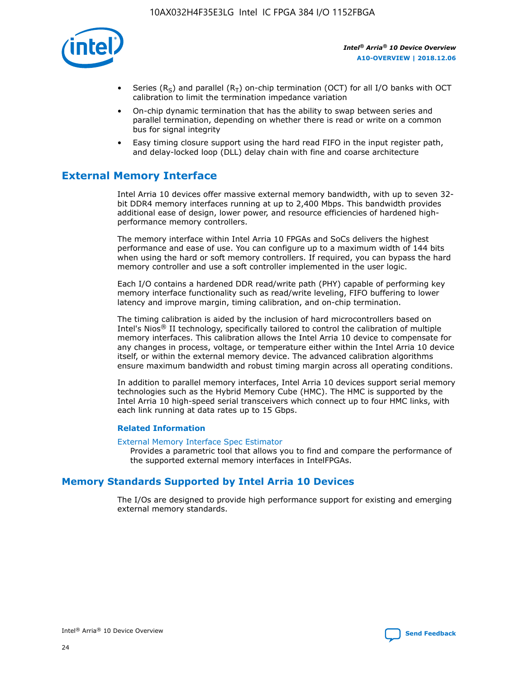

- Series (R<sub>S</sub>) and parallel (R<sub>T</sub>) on-chip termination (OCT) for all I/O banks with OCT calibration to limit the termination impedance variation
- On-chip dynamic termination that has the ability to swap between series and parallel termination, depending on whether there is read or write on a common bus for signal integrity
- Easy timing closure support using the hard read FIFO in the input register path, and delay-locked loop (DLL) delay chain with fine and coarse architecture

## **External Memory Interface**

Intel Arria 10 devices offer massive external memory bandwidth, with up to seven 32 bit DDR4 memory interfaces running at up to 2,400 Mbps. This bandwidth provides additional ease of design, lower power, and resource efficiencies of hardened highperformance memory controllers.

The memory interface within Intel Arria 10 FPGAs and SoCs delivers the highest performance and ease of use. You can configure up to a maximum width of 144 bits when using the hard or soft memory controllers. If required, you can bypass the hard memory controller and use a soft controller implemented in the user logic.

Each I/O contains a hardened DDR read/write path (PHY) capable of performing key memory interface functionality such as read/write leveling, FIFO buffering to lower latency and improve margin, timing calibration, and on-chip termination.

The timing calibration is aided by the inclusion of hard microcontrollers based on Intel's Nios® II technology, specifically tailored to control the calibration of multiple memory interfaces. This calibration allows the Intel Arria 10 device to compensate for any changes in process, voltage, or temperature either within the Intel Arria 10 device itself, or within the external memory device. The advanced calibration algorithms ensure maximum bandwidth and robust timing margin across all operating conditions.

In addition to parallel memory interfaces, Intel Arria 10 devices support serial memory technologies such as the Hybrid Memory Cube (HMC). The HMC is supported by the Intel Arria 10 high-speed serial transceivers which connect up to four HMC links, with each link running at data rates up to 15 Gbps.

#### **Related Information**

#### [External Memory Interface Spec Estimator](http://www.altera.com/technology/memory/estimator/mem-emif-index.html)

Provides a parametric tool that allows you to find and compare the performance of the supported external memory interfaces in IntelFPGAs.

## **Memory Standards Supported by Intel Arria 10 Devices**

The I/Os are designed to provide high performance support for existing and emerging external memory standards.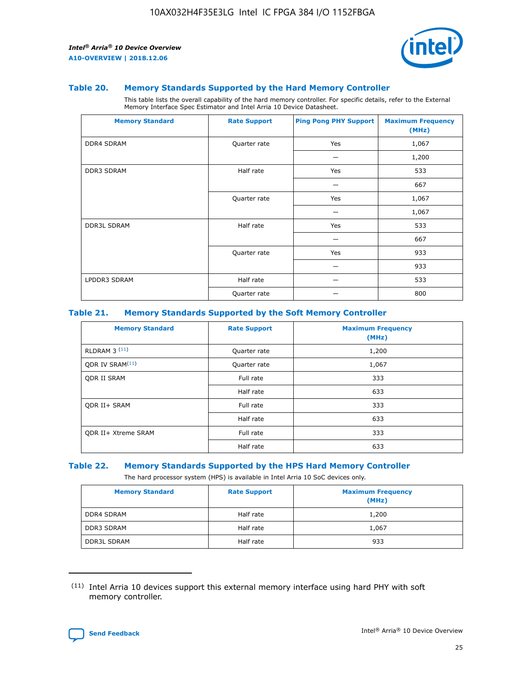

#### **Table 20. Memory Standards Supported by the Hard Memory Controller**

This table lists the overall capability of the hard memory controller. For specific details, refer to the External Memory Interface Spec Estimator and Intel Arria 10 Device Datasheet.

| <b>Memory Standard</b> | <b>Rate Support</b> | <b>Ping Pong PHY Support</b> | <b>Maximum Frequency</b><br>(MHz) |
|------------------------|---------------------|------------------------------|-----------------------------------|
| <b>DDR4 SDRAM</b>      | Quarter rate        | Yes                          | 1,067                             |
|                        |                     |                              | 1,200                             |
| DDR3 SDRAM             | Half rate           | Yes                          | 533                               |
|                        |                     |                              | 667                               |
|                        | Quarter rate        | Yes                          | 1,067                             |
|                        |                     |                              | 1,067                             |
| <b>DDR3L SDRAM</b>     | Half rate           | Yes                          | 533                               |
|                        |                     |                              | 667                               |
|                        | Quarter rate        | Yes                          | 933                               |
|                        |                     |                              | 933                               |
| LPDDR3 SDRAM           | Half rate           |                              | 533                               |
|                        | Quarter rate        |                              | 800                               |

#### **Table 21. Memory Standards Supported by the Soft Memory Controller**

| <b>Memory Standard</b>      | <b>Rate Support</b> | <b>Maximum Frequency</b><br>(MHz) |
|-----------------------------|---------------------|-----------------------------------|
| <b>RLDRAM 3 (11)</b>        | Quarter rate        | 1,200                             |
| ODR IV SRAM <sup>(11)</sup> | Quarter rate        | 1,067                             |
| <b>ODR II SRAM</b>          | Full rate           | 333                               |
|                             | Half rate           | 633                               |
| <b>ODR II+ SRAM</b>         | Full rate           | 333                               |
|                             | Half rate           | 633                               |
| <b>ODR II+ Xtreme SRAM</b>  | Full rate           | 333                               |
|                             | Half rate           | 633                               |

#### **Table 22. Memory Standards Supported by the HPS Hard Memory Controller**

The hard processor system (HPS) is available in Intel Arria 10 SoC devices only.

| <b>Memory Standard</b> | <b>Rate Support</b> | <b>Maximum Frequency</b><br>(MHz) |
|------------------------|---------------------|-----------------------------------|
| <b>DDR4 SDRAM</b>      | Half rate           | 1,200                             |
| <b>DDR3 SDRAM</b>      | Half rate           | 1,067                             |
| <b>DDR3L SDRAM</b>     | Half rate           | 933                               |

<sup>(11)</sup> Intel Arria 10 devices support this external memory interface using hard PHY with soft memory controller.

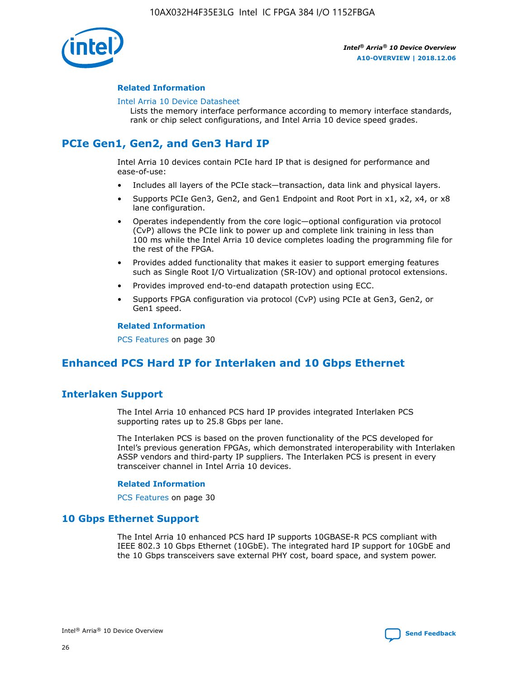

#### **Related Information**

#### [Intel Arria 10 Device Datasheet](https://www.intel.com/content/www/us/en/programmable/documentation/mcn1413182292568.html#mcn1413182153340)

Lists the memory interface performance according to memory interface standards, rank or chip select configurations, and Intel Arria 10 device speed grades.

## **PCIe Gen1, Gen2, and Gen3 Hard IP**

Intel Arria 10 devices contain PCIe hard IP that is designed for performance and ease-of-use:

- Includes all layers of the PCIe stack—transaction, data link and physical layers.
- Supports PCIe Gen3, Gen2, and Gen1 Endpoint and Root Port in x1, x2, x4, or x8 lane configuration.
- Operates independently from the core logic—optional configuration via protocol (CvP) allows the PCIe link to power up and complete link training in less than 100 ms while the Intel Arria 10 device completes loading the programming file for the rest of the FPGA.
- Provides added functionality that makes it easier to support emerging features such as Single Root I/O Virtualization (SR-IOV) and optional protocol extensions.
- Provides improved end-to-end datapath protection using ECC.
- Supports FPGA configuration via protocol (CvP) using PCIe at Gen3, Gen2, or Gen1 speed.

#### **Related Information**

PCS Features on page 30

## **Enhanced PCS Hard IP for Interlaken and 10 Gbps Ethernet**

## **Interlaken Support**

The Intel Arria 10 enhanced PCS hard IP provides integrated Interlaken PCS supporting rates up to 25.8 Gbps per lane.

The Interlaken PCS is based on the proven functionality of the PCS developed for Intel's previous generation FPGAs, which demonstrated interoperability with Interlaken ASSP vendors and third-party IP suppliers. The Interlaken PCS is present in every transceiver channel in Intel Arria 10 devices.

#### **Related Information**

PCS Features on page 30

#### **10 Gbps Ethernet Support**

The Intel Arria 10 enhanced PCS hard IP supports 10GBASE-R PCS compliant with IEEE 802.3 10 Gbps Ethernet (10GbE). The integrated hard IP support for 10GbE and the 10 Gbps transceivers save external PHY cost, board space, and system power.

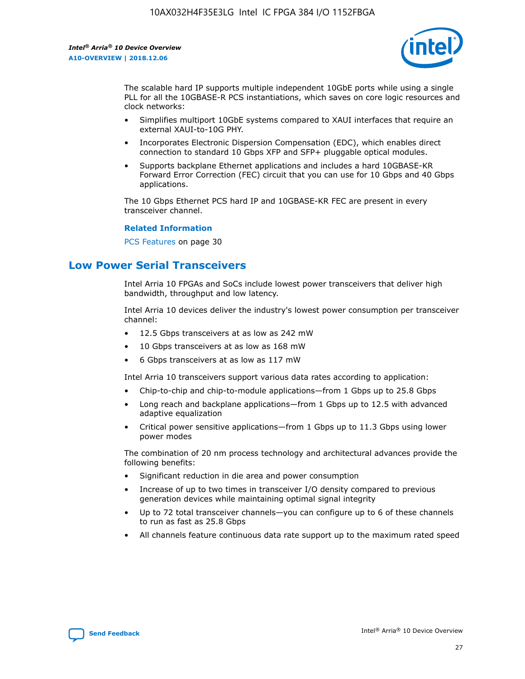

The scalable hard IP supports multiple independent 10GbE ports while using a single PLL for all the 10GBASE-R PCS instantiations, which saves on core logic resources and clock networks:

- Simplifies multiport 10GbE systems compared to XAUI interfaces that require an external XAUI-to-10G PHY.
- Incorporates Electronic Dispersion Compensation (EDC), which enables direct connection to standard 10 Gbps XFP and SFP+ pluggable optical modules.
- Supports backplane Ethernet applications and includes a hard 10GBASE-KR Forward Error Correction (FEC) circuit that you can use for 10 Gbps and 40 Gbps applications.

The 10 Gbps Ethernet PCS hard IP and 10GBASE-KR FEC are present in every transceiver channel.

#### **Related Information**

PCS Features on page 30

## **Low Power Serial Transceivers**

Intel Arria 10 FPGAs and SoCs include lowest power transceivers that deliver high bandwidth, throughput and low latency.

Intel Arria 10 devices deliver the industry's lowest power consumption per transceiver channel:

- 12.5 Gbps transceivers at as low as 242 mW
- 10 Gbps transceivers at as low as 168 mW
- 6 Gbps transceivers at as low as 117 mW

Intel Arria 10 transceivers support various data rates according to application:

- Chip-to-chip and chip-to-module applications—from 1 Gbps up to 25.8 Gbps
- Long reach and backplane applications—from 1 Gbps up to 12.5 with advanced adaptive equalization
- Critical power sensitive applications—from 1 Gbps up to 11.3 Gbps using lower power modes

The combination of 20 nm process technology and architectural advances provide the following benefits:

- Significant reduction in die area and power consumption
- Increase of up to two times in transceiver I/O density compared to previous generation devices while maintaining optimal signal integrity
- Up to 72 total transceiver channels—you can configure up to 6 of these channels to run as fast as 25.8 Gbps
- All channels feature continuous data rate support up to the maximum rated speed

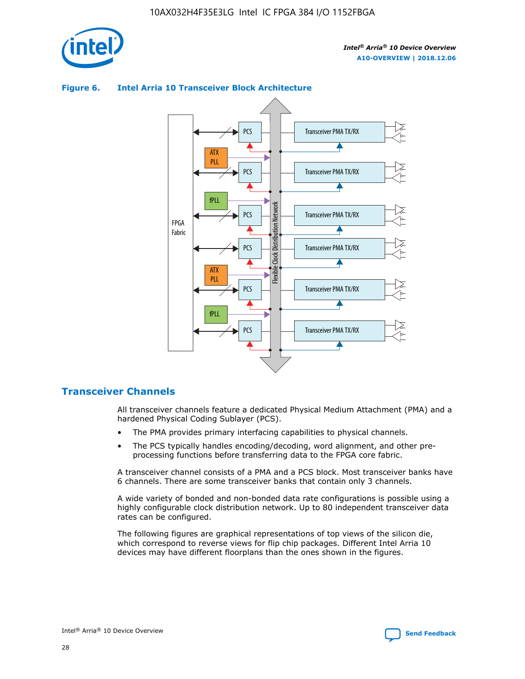

#### Transceiver PMA TX/RX PCS ATX PLL Transceiver PMA TX/RX PCS fPLL Network Flexible Clock Distribution Network PCS Transceiver PMA TX/RX FPGA **Clock Distribution** Fabric PCS Transceiver PMA TX/RX ATX Flexible PLL PCS Transceiver PMA TX/RX ▲ fPLL Transceiver PMA TX/RX PCS 4

#### **Figure 6. Intel Arria 10 Transceiver Block Architecture**

#### **Transceiver Channels**

All transceiver channels feature a dedicated Physical Medium Attachment (PMA) and a hardened Physical Coding Sublayer (PCS).

- The PMA provides primary interfacing capabilities to physical channels.
- The PCS typically handles encoding/decoding, word alignment, and other preprocessing functions before transferring data to the FPGA core fabric.

A transceiver channel consists of a PMA and a PCS block. Most transceiver banks have 6 channels. There are some transceiver banks that contain only 3 channels.

A wide variety of bonded and non-bonded data rate configurations is possible using a highly configurable clock distribution network. Up to 80 independent transceiver data rates can be configured.

The following figures are graphical representations of top views of the silicon die, which correspond to reverse views for flip chip packages. Different Intel Arria 10 devices may have different floorplans than the ones shown in the figures.

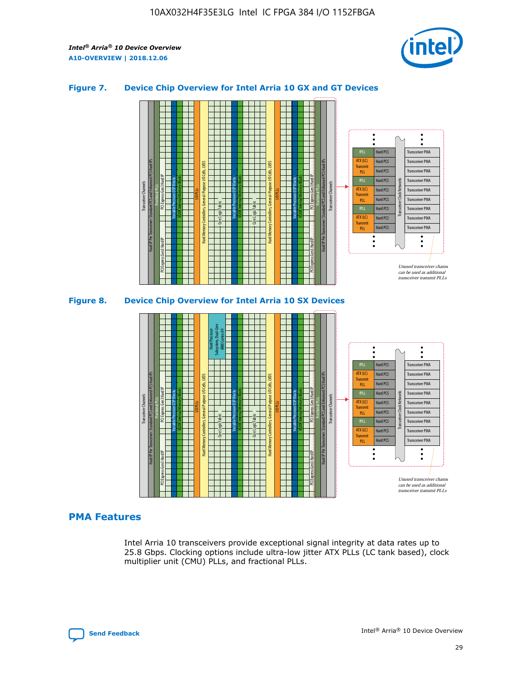

#### **Figure 7. Device Chip Overview for Intel Arria 10 GX and GT Devices**



M20K Internal Memory Blocks Core Logic Fabric Transceiver Channels Hard IP Per Transceiver: Standard PCS and Enhanced PCS Hard IPs PCI Express Gen3 Hard IP Fractional PLLs M20K Internal Memory Blocks PCI Express Gen3 Hard IP Variable Precision DSP Blocks I/O PLLs Hard Memory Controllers, General-Purpose I/O Cells, LVDS Hard Processor Subsystem, Dual-Core ARM Cortex A9 M20K Internal Memory Blocks Variable Precision DSP Blocks M20K Internal Memory Blocks Core Logic Fabric I/O PLLs Hard Memory Controllers, General-Purpose I/O Cells, LVDS M20K Internal Memory Blocks Variable Precision DSP Blocks M20K Internal Memory Blocks Transceiver Channels Hard IP Per Transceiver: Standard PCS and Enhanced PCS Hard IPs PCI Express Gen3 Hard IP Fractional PLLs PCI Express Gen3 Hard IP Hard PCS Hard PCS Hard PCS Hard PCS Hard PCS Hard PCS Hard PCS Transceiver PMA Transceiver PMA Transceiver PMA Transceiver PMA Transceiver PMA Unused transceiver chann can be used as additional transceiver transmit PLLs Transceiver PMA Transceiver PMA Transceiver Clock Networks **Transmit** PLL fPLL ATX (LC) Transmi PLL fPLL ATX (LC) **Transmit** PLL

#### **PMA Features**

Intel Arria 10 transceivers provide exceptional signal integrity at data rates up to 25.8 Gbps. Clocking options include ultra-low jitter ATX PLLs (LC tank based), clock multiplier unit (CMU) PLLs, and fractional PLLs.

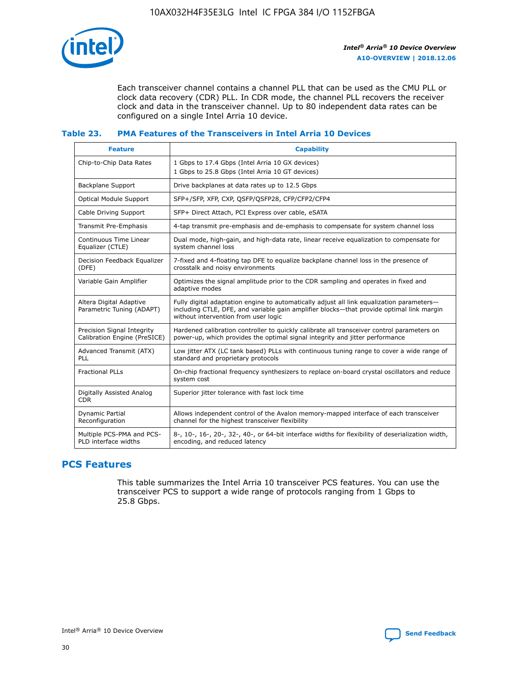

Each transceiver channel contains a channel PLL that can be used as the CMU PLL or clock data recovery (CDR) PLL. In CDR mode, the channel PLL recovers the receiver clock and data in the transceiver channel. Up to 80 independent data rates can be configured on a single Intel Arria 10 device.

#### **Table 23. PMA Features of the Transceivers in Intel Arria 10 Devices**

| <b>Feature</b>                                             | <b>Capability</b>                                                                                                                                                                                                             |
|------------------------------------------------------------|-------------------------------------------------------------------------------------------------------------------------------------------------------------------------------------------------------------------------------|
| Chip-to-Chip Data Rates                                    | 1 Gbps to 17.4 Gbps (Intel Arria 10 GX devices)<br>1 Gbps to 25.8 Gbps (Intel Arria 10 GT devices)                                                                                                                            |
| Backplane Support                                          | Drive backplanes at data rates up to 12.5 Gbps                                                                                                                                                                                |
| Optical Module Support                                     | SFP+/SFP, XFP, CXP, QSFP/QSFP28, CFP/CFP2/CFP4                                                                                                                                                                                |
| Cable Driving Support                                      | SFP+ Direct Attach, PCI Express over cable, eSATA                                                                                                                                                                             |
| Transmit Pre-Emphasis                                      | 4-tap transmit pre-emphasis and de-emphasis to compensate for system channel loss                                                                                                                                             |
| Continuous Time Linear<br>Equalizer (CTLE)                 | Dual mode, high-gain, and high-data rate, linear receive equalization to compensate for<br>system channel loss                                                                                                                |
| Decision Feedback Equalizer<br>(DFE)                       | 7-fixed and 4-floating tap DFE to equalize backplane channel loss in the presence of<br>crosstalk and noisy environments                                                                                                      |
| Variable Gain Amplifier                                    | Optimizes the signal amplitude prior to the CDR sampling and operates in fixed and<br>adaptive modes                                                                                                                          |
| Altera Digital Adaptive<br>Parametric Tuning (ADAPT)       | Fully digital adaptation engine to automatically adjust all link equalization parameters-<br>including CTLE, DFE, and variable gain amplifier blocks—that provide optimal link margin<br>without intervention from user logic |
| Precision Signal Integrity<br>Calibration Engine (PreSICE) | Hardened calibration controller to quickly calibrate all transceiver control parameters on<br>power-up, which provides the optimal signal integrity and jitter performance                                                    |
| Advanced Transmit (ATX)<br>PLL                             | Low jitter ATX (LC tank based) PLLs with continuous tuning range to cover a wide range of<br>standard and proprietary protocols                                                                                               |
| <b>Fractional PLLs</b>                                     | On-chip fractional frequency synthesizers to replace on-board crystal oscillators and reduce<br>system cost                                                                                                                   |
| Digitally Assisted Analog<br><b>CDR</b>                    | Superior jitter tolerance with fast lock time                                                                                                                                                                                 |
| Dynamic Partial<br>Reconfiguration                         | Allows independent control of the Avalon memory-mapped interface of each transceiver<br>channel for the highest transceiver flexibility                                                                                       |
| Multiple PCS-PMA and PCS-<br>PLD interface widths          | 8-, 10-, 16-, 20-, 32-, 40-, or 64-bit interface widths for flexibility of deserialization width,<br>encoding, and reduced latency                                                                                            |

## **PCS Features**

This table summarizes the Intel Arria 10 transceiver PCS features. You can use the transceiver PCS to support a wide range of protocols ranging from 1 Gbps to 25.8 Gbps.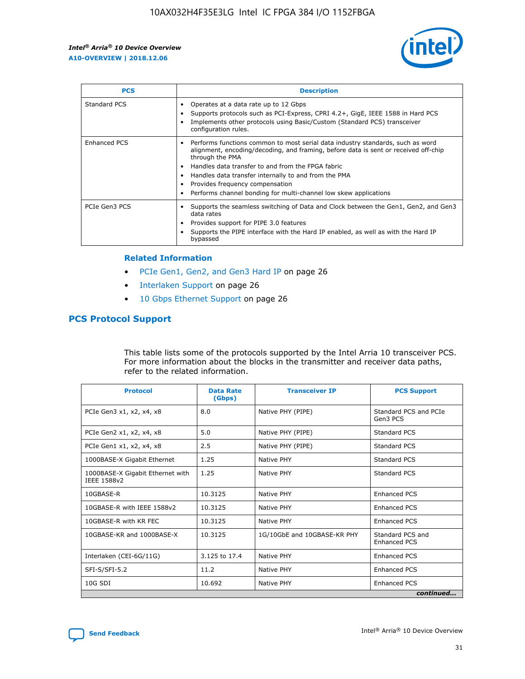

| <b>PCS</b>    | <b>Description</b>                                                                                                                                                                                                                                                                                                                                                                                             |
|---------------|----------------------------------------------------------------------------------------------------------------------------------------------------------------------------------------------------------------------------------------------------------------------------------------------------------------------------------------------------------------------------------------------------------------|
| Standard PCS  | Operates at a data rate up to 12 Gbps<br>Supports protocols such as PCI-Express, CPRI 4.2+, GigE, IEEE 1588 in Hard PCS<br>Implements other protocols using Basic/Custom (Standard PCS) transceiver<br>configuration rules.                                                                                                                                                                                    |
| Enhanced PCS  | Performs functions common to most serial data industry standards, such as word<br>alignment, encoding/decoding, and framing, before data is sent or received off-chip<br>through the PMA<br>• Handles data transfer to and from the FPGA fabric<br>Handles data transfer internally to and from the PMA<br>Provides frequency compensation<br>Performs channel bonding for multi-channel low skew applications |
| PCIe Gen3 PCS | Supports the seamless switching of Data and Clock between the Gen1, Gen2, and Gen3<br>data rates<br>Provides support for PIPE 3.0 features<br>Supports the PIPE interface with the Hard IP enabled, as well as with the Hard IP<br>bypassed                                                                                                                                                                    |

#### **Related Information**

- PCIe Gen1, Gen2, and Gen3 Hard IP on page 26
- Interlaken Support on page 26
- 10 Gbps Ethernet Support on page 26

## **PCS Protocol Support**

This table lists some of the protocols supported by the Intel Arria 10 transceiver PCS. For more information about the blocks in the transmitter and receiver data paths, refer to the related information.

| <b>Protocol</b>                                 | <b>Data Rate</b><br>(Gbps) | <b>Transceiver IP</b>       | <b>PCS Support</b>                      |
|-------------------------------------------------|----------------------------|-----------------------------|-----------------------------------------|
| PCIe Gen3 x1, x2, x4, x8                        | 8.0                        | Native PHY (PIPE)           | Standard PCS and PCIe<br>Gen3 PCS       |
| PCIe Gen2 x1, x2, x4, x8                        | 5.0                        | Native PHY (PIPE)           | <b>Standard PCS</b>                     |
| PCIe Gen1 x1, x2, x4, x8                        | 2.5                        | Native PHY (PIPE)           | Standard PCS                            |
| 1000BASE-X Gigabit Ethernet                     | 1.25                       | Native PHY                  | <b>Standard PCS</b>                     |
| 1000BASE-X Gigabit Ethernet with<br>IEEE 1588v2 | 1.25                       | Native PHY                  | Standard PCS                            |
| 10GBASE-R                                       | 10.3125                    | Native PHY                  | <b>Enhanced PCS</b>                     |
| 10GBASE-R with IEEE 1588v2                      | 10.3125                    | Native PHY                  | <b>Enhanced PCS</b>                     |
| 10GBASE-R with KR FEC                           | 10.3125                    | Native PHY                  | <b>Enhanced PCS</b>                     |
| 10GBASE-KR and 1000BASE-X                       | 10.3125                    | 1G/10GbE and 10GBASE-KR PHY | Standard PCS and<br><b>Enhanced PCS</b> |
| Interlaken (CEI-6G/11G)                         | 3.125 to 17.4              | Native PHY                  | <b>Enhanced PCS</b>                     |
| SFI-S/SFI-5.2                                   | 11.2                       | Native PHY                  | <b>Enhanced PCS</b>                     |
| $10G$ SDI                                       | 10.692                     | Native PHY                  | <b>Enhanced PCS</b>                     |
|                                                 |                            |                             | continued                               |

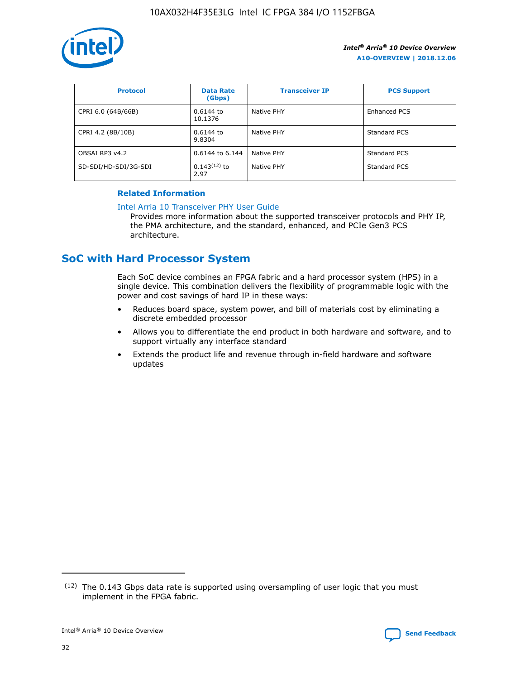

| <b>Protocol</b>      | <b>Data Rate</b><br>(Gbps) | <b>Transceiver IP</b> | <b>PCS Support</b> |
|----------------------|----------------------------|-----------------------|--------------------|
| CPRI 6.0 (64B/66B)   | 0.6144 to<br>10.1376       | Native PHY            | Enhanced PCS       |
| CPRI 4.2 (8B/10B)    | 0.6144 to<br>9.8304        | Native PHY            | Standard PCS       |
| OBSAI RP3 v4.2       | 0.6144 to 6.144            | Native PHY            | Standard PCS       |
| SD-SDI/HD-SDI/3G-SDI | $0.143(12)$ to<br>2.97     | Native PHY            | Standard PCS       |

#### **Related Information**

#### [Intel Arria 10 Transceiver PHY User Guide](https://www.intel.com/content/www/us/en/programmable/documentation/nik1398707230472.html#nik1398707091164)

Provides more information about the supported transceiver protocols and PHY IP, the PMA architecture, and the standard, enhanced, and PCIe Gen3 PCS architecture.

## **SoC with Hard Processor System**

Each SoC device combines an FPGA fabric and a hard processor system (HPS) in a single device. This combination delivers the flexibility of programmable logic with the power and cost savings of hard IP in these ways:

- Reduces board space, system power, and bill of materials cost by eliminating a discrete embedded processor
- Allows you to differentiate the end product in both hardware and software, and to support virtually any interface standard
- Extends the product life and revenue through in-field hardware and software updates

 $(12)$  The 0.143 Gbps data rate is supported using oversampling of user logic that you must implement in the FPGA fabric.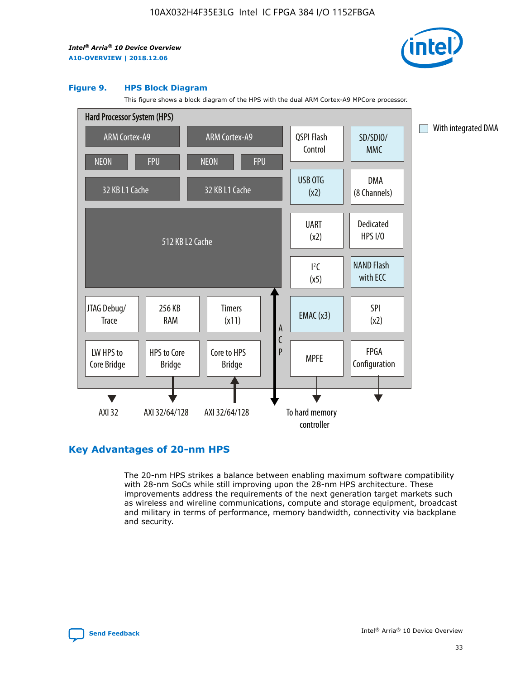

#### **Figure 9. HPS Block Diagram**

This figure shows a block diagram of the HPS with the dual ARM Cortex-A9 MPCore processor.



## **Key Advantages of 20-nm HPS**

The 20-nm HPS strikes a balance between enabling maximum software compatibility with 28-nm SoCs while still improving upon the 28-nm HPS architecture. These improvements address the requirements of the next generation target markets such as wireless and wireline communications, compute and storage equipment, broadcast and military in terms of performance, memory bandwidth, connectivity via backplane and security.

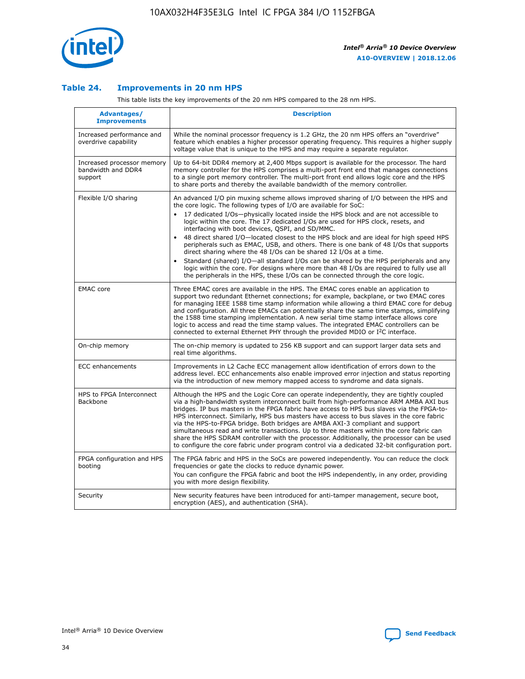

#### **Table 24. Improvements in 20 nm HPS**

This table lists the key improvements of the 20 nm HPS compared to the 28 nm HPS.

| Advantages/<br><b>Improvements</b>                          | <b>Description</b>                                                                                                                                                                                                                                                                                                                                                                                                                                                                                                                                                                                                                                                                                                                                                                                                                                                                                                                                |
|-------------------------------------------------------------|---------------------------------------------------------------------------------------------------------------------------------------------------------------------------------------------------------------------------------------------------------------------------------------------------------------------------------------------------------------------------------------------------------------------------------------------------------------------------------------------------------------------------------------------------------------------------------------------------------------------------------------------------------------------------------------------------------------------------------------------------------------------------------------------------------------------------------------------------------------------------------------------------------------------------------------------------|
| Increased performance and<br>overdrive capability           | While the nominal processor frequency is 1.2 GHz, the 20 nm HPS offers an "overdrive"<br>feature which enables a higher processor operating frequency. This requires a higher supply<br>voltage value that is unique to the HPS and may require a separate regulator.                                                                                                                                                                                                                                                                                                                                                                                                                                                                                                                                                                                                                                                                             |
| Increased processor memory<br>bandwidth and DDR4<br>support | Up to 64-bit DDR4 memory at 2,400 Mbps support is available for the processor. The hard<br>memory controller for the HPS comprises a multi-port front end that manages connections<br>to a single port memory controller. The multi-port front end allows logic core and the HPS<br>to share ports and thereby the available bandwidth of the memory controller.                                                                                                                                                                                                                                                                                                                                                                                                                                                                                                                                                                                  |
| Flexible I/O sharing                                        | An advanced I/O pin muxing scheme allows improved sharing of I/O between the HPS and<br>the core logic. The following types of I/O are available for SoC:<br>$\bullet$<br>17 dedicated I/Os-physically located inside the HPS block and are not accessible to<br>logic within the core. The 17 dedicated I/Os are used for HPS clock, resets, and<br>interfacing with boot devices, QSPI, and SD/MMC.<br>48 direct shared I/O-located closest to the HPS block and are ideal for high speed HPS<br>$\bullet$<br>peripherals such as EMAC, USB, and others. There is one bank of 48 I/Os that supports<br>direct sharing where the 48 I/Os can be shared 12 I/Os at a time.<br>Standard (shared) I/O-all standard I/Os can be shared by the HPS peripherals and any<br>logic within the core. For designs where more than 48 I/Os are required to fully use all<br>the peripherals in the HPS, these I/Os can be connected through the core logic. |
| <b>EMAC</b> core                                            | Three EMAC cores are available in the HPS. The EMAC cores enable an application to<br>support two redundant Ethernet connections; for example, backplane, or two EMAC cores<br>for managing IEEE 1588 time stamp information while allowing a third EMAC core for debug<br>and configuration. All three EMACs can potentially share the same time stamps, simplifying<br>the 1588 time stamping implementation. A new serial time stamp interface allows core<br>logic to access and read the time stamp values. The integrated EMAC controllers can be<br>connected to external Ethernet PHY through the provided MDIO or I <sup>2</sup> C interface.                                                                                                                                                                                                                                                                                            |
| On-chip memory                                              | The on-chip memory is updated to 256 KB support and can support larger data sets and<br>real time algorithms.                                                                                                                                                                                                                                                                                                                                                                                                                                                                                                                                                                                                                                                                                                                                                                                                                                     |
| <b>ECC</b> enhancements                                     | Improvements in L2 Cache ECC management allow identification of errors down to the<br>address level. ECC enhancements also enable improved error injection and status reporting<br>via the introduction of new memory mapped access to syndrome and data signals.                                                                                                                                                                                                                                                                                                                                                                                                                                                                                                                                                                                                                                                                                 |
| HPS to FPGA Interconnect<br>Backbone                        | Although the HPS and the Logic Core can operate independently, they are tightly coupled<br>via a high-bandwidth system interconnect built from high-performance ARM AMBA AXI bus<br>bridges. IP bus masters in the FPGA fabric have access to HPS bus slaves via the FPGA-to-<br>HPS interconnect. Similarly, HPS bus masters have access to bus slaves in the core fabric<br>via the HPS-to-FPGA bridge. Both bridges are AMBA AXI-3 compliant and support<br>simultaneous read and write transactions. Up to three masters within the core fabric can<br>share the HPS SDRAM controller with the processor. Additionally, the processor can be used<br>to configure the core fabric under program control via a dedicated 32-bit configuration port.                                                                                                                                                                                            |
| FPGA configuration and HPS<br>booting                       | The FPGA fabric and HPS in the SoCs are powered independently. You can reduce the clock<br>frequencies or gate the clocks to reduce dynamic power.<br>You can configure the FPGA fabric and boot the HPS independently, in any order, providing<br>you with more design flexibility.                                                                                                                                                                                                                                                                                                                                                                                                                                                                                                                                                                                                                                                              |
| Security                                                    | New security features have been introduced for anti-tamper management, secure boot,<br>encryption (AES), and authentication (SHA).                                                                                                                                                                                                                                                                                                                                                                                                                                                                                                                                                                                                                                                                                                                                                                                                                |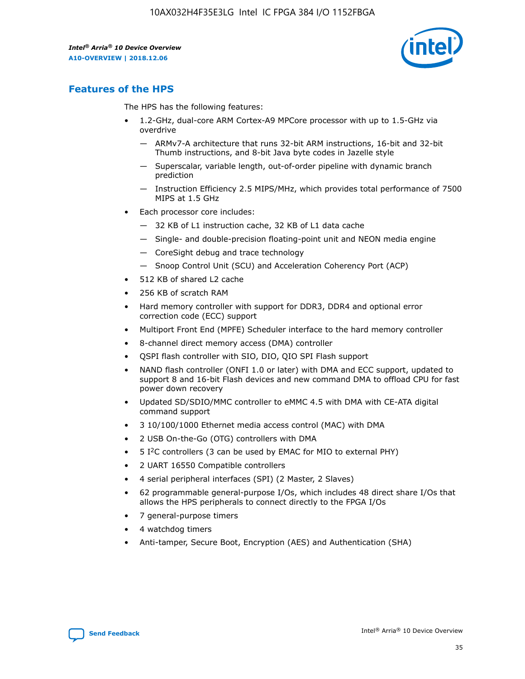

## **Features of the HPS**

The HPS has the following features:

- 1.2-GHz, dual-core ARM Cortex-A9 MPCore processor with up to 1.5-GHz via overdrive
	- ARMv7-A architecture that runs 32-bit ARM instructions, 16-bit and 32-bit Thumb instructions, and 8-bit Java byte codes in Jazelle style
	- Superscalar, variable length, out-of-order pipeline with dynamic branch prediction
	- Instruction Efficiency 2.5 MIPS/MHz, which provides total performance of 7500 MIPS at 1.5 GHz
- Each processor core includes:
	- 32 KB of L1 instruction cache, 32 KB of L1 data cache
	- Single- and double-precision floating-point unit and NEON media engine
	- CoreSight debug and trace technology
	- Snoop Control Unit (SCU) and Acceleration Coherency Port (ACP)
- 512 KB of shared L2 cache
- 256 KB of scratch RAM
- Hard memory controller with support for DDR3, DDR4 and optional error correction code (ECC) support
- Multiport Front End (MPFE) Scheduler interface to the hard memory controller
- 8-channel direct memory access (DMA) controller
- QSPI flash controller with SIO, DIO, QIO SPI Flash support
- NAND flash controller (ONFI 1.0 or later) with DMA and ECC support, updated to support 8 and 16-bit Flash devices and new command DMA to offload CPU for fast power down recovery
- Updated SD/SDIO/MMC controller to eMMC 4.5 with DMA with CE-ATA digital command support
- 3 10/100/1000 Ethernet media access control (MAC) with DMA
- 2 USB On-the-Go (OTG) controllers with DMA
- $\bullet$  5 I<sup>2</sup>C controllers (3 can be used by EMAC for MIO to external PHY)
- 2 UART 16550 Compatible controllers
- 4 serial peripheral interfaces (SPI) (2 Master, 2 Slaves)
- 62 programmable general-purpose I/Os, which includes 48 direct share I/Os that allows the HPS peripherals to connect directly to the FPGA I/Os
- 7 general-purpose timers
- 4 watchdog timers
- Anti-tamper, Secure Boot, Encryption (AES) and Authentication (SHA)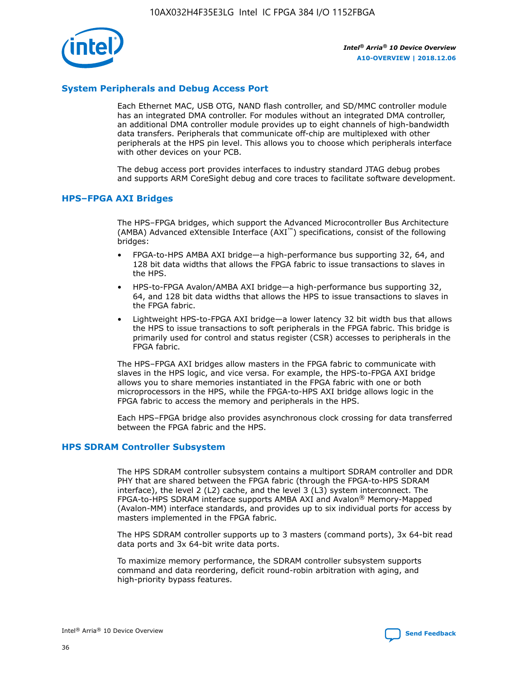

#### **System Peripherals and Debug Access Port**

Each Ethernet MAC, USB OTG, NAND flash controller, and SD/MMC controller module has an integrated DMA controller. For modules without an integrated DMA controller, an additional DMA controller module provides up to eight channels of high-bandwidth data transfers. Peripherals that communicate off-chip are multiplexed with other peripherals at the HPS pin level. This allows you to choose which peripherals interface with other devices on your PCB.

The debug access port provides interfaces to industry standard JTAG debug probes and supports ARM CoreSight debug and core traces to facilitate software development.

#### **HPS–FPGA AXI Bridges**

The HPS–FPGA bridges, which support the Advanced Microcontroller Bus Architecture (AMBA) Advanced eXtensible Interface (AXI™) specifications, consist of the following bridges:

- FPGA-to-HPS AMBA AXI bridge—a high-performance bus supporting 32, 64, and 128 bit data widths that allows the FPGA fabric to issue transactions to slaves in the HPS.
- HPS-to-FPGA Avalon/AMBA AXI bridge—a high-performance bus supporting 32, 64, and 128 bit data widths that allows the HPS to issue transactions to slaves in the FPGA fabric.
- Lightweight HPS-to-FPGA AXI bridge—a lower latency 32 bit width bus that allows the HPS to issue transactions to soft peripherals in the FPGA fabric. This bridge is primarily used for control and status register (CSR) accesses to peripherals in the FPGA fabric.

The HPS–FPGA AXI bridges allow masters in the FPGA fabric to communicate with slaves in the HPS logic, and vice versa. For example, the HPS-to-FPGA AXI bridge allows you to share memories instantiated in the FPGA fabric with one or both microprocessors in the HPS, while the FPGA-to-HPS AXI bridge allows logic in the FPGA fabric to access the memory and peripherals in the HPS.

Each HPS–FPGA bridge also provides asynchronous clock crossing for data transferred between the FPGA fabric and the HPS.

#### **HPS SDRAM Controller Subsystem**

The HPS SDRAM controller subsystem contains a multiport SDRAM controller and DDR PHY that are shared between the FPGA fabric (through the FPGA-to-HPS SDRAM interface), the level 2 (L2) cache, and the level 3 (L3) system interconnect. The FPGA-to-HPS SDRAM interface supports AMBA AXI and Avalon® Memory-Mapped (Avalon-MM) interface standards, and provides up to six individual ports for access by masters implemented in the FPGA fabric.

The HPS SDRAM controller supports up to 3 masters (command ports), 3x 64-bit read data ports and 3x 64-bit write data ports.

To maximize memory performance, the SDRAM controller subsystem supports command and data reordering, deficit round-robin arbitration with aging, and high-priority bypass features.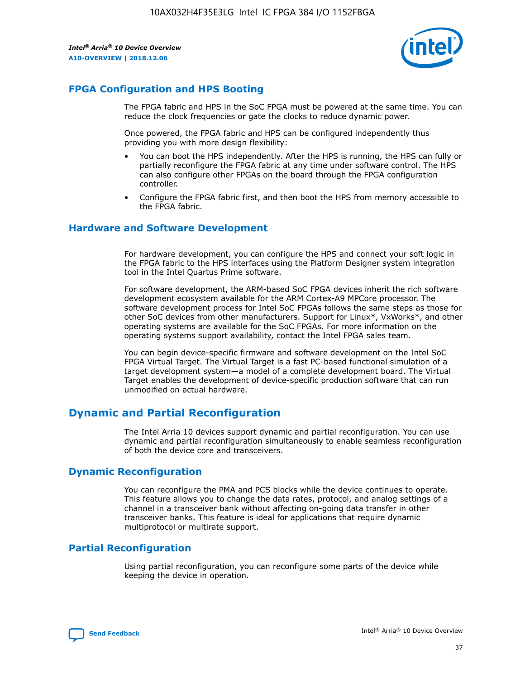

## **FPGA Configuration and HPS Booting**

The FPGA fabric and HPS in the SoC FPGA must be powered at the same time. You can reduce the clock frequencies or gate the clocks to reduce dynamic power.

Once powered, the FPGA fabric and HPS can be configured independently thus providing you with more design flexibility:

- You can boot the HPS independently. After the HPS is running, the HPS can fully or partially reconfigure the FPGA fabric at any time under software control. The HPS can also configure other FPGAs on the board through the FPGA configuration controller.
- Configure the FPGA fabric first, and then boot the HPS from memory accessible to the FPGA fabric.

#### **Hardware and Software Development**

For hardware development, you can configure the HPS and connect your soft logic in the FPGA fabric to the HPS interfaces using the Platform Designer system integration tool in the Intel Quartus Prime software.

For software development, the ARM-based SoC FPGA devices inherit the rich software development ecosystem available for the ARM Cortex-A9 MPCore processor. The software development process for Intel SoC FPGAs follows the same steps as those for other SoC devices from other manufacturers. Support for Linux\*, VxWorks\*, and other operating systems are available for the SoC FPGAs. For more information on the operating systems support availability, contact the Intel FPGA sales team.

You can begin device-specific firmware and software development on the Intel SoC FPGA Virtual Target. The Virtual Target is a fast PC-based functional simulation of a target development system—a model of a complete development board. The Virtual Target enables the development of device-specific production software that can run unmodified on actual hardware.

## **Dynamic and Partial Reconfiguration**

The Intel Arria 10 devices support dynamic and partial reconfiguration. You can use dynamic and partial reconfiguration simultaneously to enable seamless reconfiguration of both the device core and transceivers.

## **Dynamic Reconfiguration**

You can reconfigure the PMA and PCS blocks while the device continues to operate. This feature allows you to change the data rates, protocol, and analog settings of a channel in a transceiver bank without affecting on-going data transfer in other transceiver banks. This feature is ideal for applications that require dynamic multiprotocol or multirate support.

## **Partial Reconfiguration**

Using partial reconfiguration, you can reconfigure some parts of the device while keeping the device in operation.

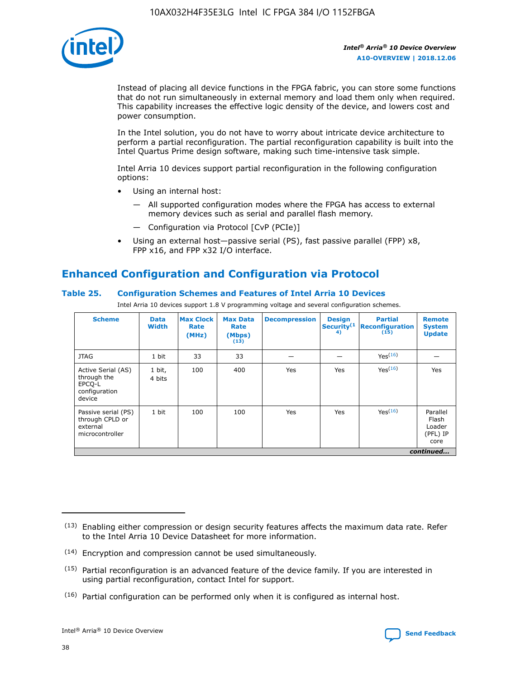

Instead of placing all device functions in the FPGA fabric, you can store some functions that do not run simultaneously in external memory and load them only when required. This capability increases the effective logic density of the device, and lowers cost and power consumption.

In the Intel solution, you do not have to worry about intricate device architecture to perform a partial reconfiguration. The partial reconfiguration capability is built into the Intel Quartus Prime design software, making such time-intensive task simple.

Intel Arria 10 devices support partial reconfiguration in the following configuration options:

- Using an internal host:
	- All supported configuration modes where the FPGA has access to external memory devices such as serial and parallel flash memory.
	- Configuration via Protocol [CvP (PCIe)]
- Using an external host—passive serial (PS), fast passive parallel (FPP) x8, FPP x16, and FPP x32 I/O interface.

## **Enhanced Configuration and Configuration via Protocol**

#### **Table 25. Configuration Schemes and Features of Intel Arria 10 Devices**

Intel Arria 10 devices support 1.8 V programming voltage and several configuration schemes.

| <b>Scheme</b>                                                          | <b>Data</b><br><b>Width</b> | <b>Max Clock</b><br>Rate<br>(MHz) | <b>Max Data</b><br>Rate<br>(Mbps)<br>(13) | <b>Decompression</b> | <b>Design</b><br>Security <sup>(1</sup><br>4) | <b>Partial</b><br>Reconfiguration<br>(15) | <b>Remote</b><br><b>System</b><br><b>Update</b> |
|------------------------------------------------------------------------|-----------------------------|-----------------------------------|-------------------------------------------|----------------------|-----------------------------------------------|-------------------------------------------|-------------------------------------------------|
| <b>JTAG</b>                                                            | 1 bit                       | 33                                | 33                                        |                      |                                               | Yes(16)                                   |                                                 |
| Active Serial (AS)<br>through the<br>EPCO-L<br>configuration<br>device | 1 bit,<br>4 bits            | 100                               | 400                                       | Yes                  | Yes                                           | Yes(16)                                   | Yes                                             |
| Passive serial (PS)<br>through CPLD or<br>external<br>microcontroller  | 1 bit                       | 100                               | 100                                       | Yes                  | Yes                                           | Yes <sup>(16)</sup>                       | Parallel<br>Flash<br>Loader<br>(PFL) IP<br>core |
|                                                                        |                             |                                   |                                           |                      |                                               |                                           | continued                                       |

<sup>(13)</sup> Enabling either compression or design security features affects the maximum data rate. Refer to the Intel Arria 10 Device Datasheet for more information.

<sup>(14)</sup> Encryption and compression cannot be used simultaneously.

 $(15)$  Partial reconfiguration is an advanced feature of the device family. If you are interested in using partial reconfiguration, contact Intel for support.

 $(16)$  Partial configuration can be performed only when it is configured as internal host.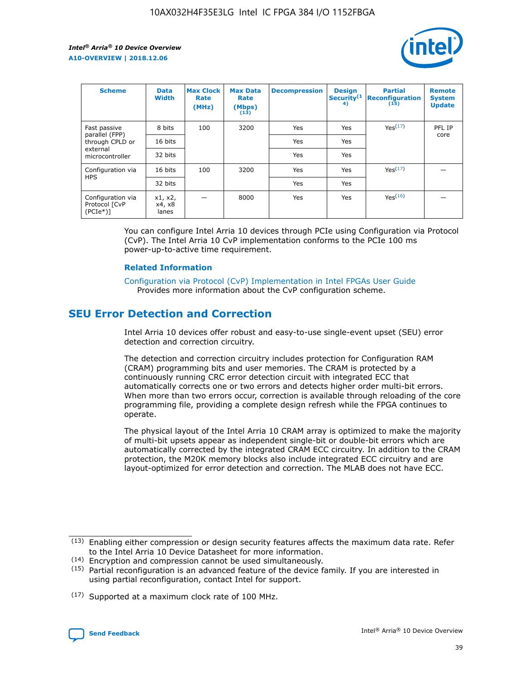

| <b>Scheme</b>                                   | <b>Data</b><br><b>Width</b> | <b>Max Clock</b><br>Rate<br>(MHz) | <b>Max Data</b><br>Rate<br>(Mbps)<br>(13) | <b>Decompression</b> | <b>Design</b><br>Security <sup>(1</sup><br>4) | <b>Partial</b><br><b>Reconfiguration</b><br>(15) | <b>Remote</b><br><b>System</b><br><b>Update</b> |
|-------------------------------------------------|-----------------------------|-----------------------------------|-------------------------------------------|----------------------|-----------------------------------------------|--------------------------------------------------|-------------------------------------------------|
| Fast passive                                    | 8 bits                      | 100                               | 3200                                      | Yes                  | Yes                                           | Yes(17)                                          | PFL IP                                          |
| parallel (FPP)<br>through CPLD or               | 16 bits                     |                                   |                                           | Yes                  | Yes                                           |                                                  | core                                            |
| external<br>microcontroller                     | 32 bits                     |                                   |                                           | Yes                  | Yes                                           |                                                  |                                                 |
| Configuration via                               | 16 bits                     | 100                               | 3200                                      | Yes                  | Yes                                           | Yes <sup>(17)</sup>                              |                                                 |
| <b>HPS</b>                                      | 32 bits                     |                                   |                                           | Yes                  | Yes                                           |                                                  |                                                 |
| Configuration via<br>Protocol [CvP<br>$(PCIe*)$ | x1, x2,<br>x4, x8<br>lanes  |                                   | 8000                                      | Yes                  | Yes                                           | Yes <sup>(16)</sup>                              |                                                 |

You can configure Intel Arria 10 devices through PCIe using Configuration via Protocol (CvP). The Intel Arria 10 CvP implementation conforms to the PCIe 100 ms power-up-to-active time requirement.

#### **Related Information**

[Configuration via Protocol \(CvP\) Implementation in Intel FPGAs User Guide](https://www.intel.com/content/www/us/en/programmable/documentation/dsu1441819344145.html#dsu1442269728522) Provides more information about the CvP configuration scheme.

## **SEU Error Detection and Correction**

Intel Arria 10 devices offer robust and easy-to-use single-event upset (SEU) error detection and correction circuitry.

The detection and correction circuitry includes protection for Configuration RAM (CRAM) programming bits and user memories. The CRAM is protected by a continuously running CRC error detection circuit with integrated ECC that automatically corrects one or two errors and detects higher order multi-bit errors. When more than two errors occur, correction is available through reloading of the core programming file, providing a complete design refresh while the FPGA continues to operate.

The physical layout of the Intel Arria 10 CRAM array is optimized to make the majority of multi-bit upsets appear as independent single-bit or double-bit errors which are automatically corrected by the integrated CRAM ECC circuitry. In addition to the CRAM protection, the M20K memory blocks also include integrated ECC circuitry and are layout-optimized for error detection and correction. The MLAB does not have ECC.

(14) Encryption and compression cannot be used simultaneously.

<sup>(17)</sup> Supported at a maximum clock rate of 100 MHz.



 $(13)$  Enabling either compression or design security features affects the maximum data rate. Refer to the Intel Arria 10 Device Datasheet for more information.

 $(15)$  Partial reconfiguration is an advanced feature of the device family. If you are interested in using partial reconfiguration, contact Intel for support.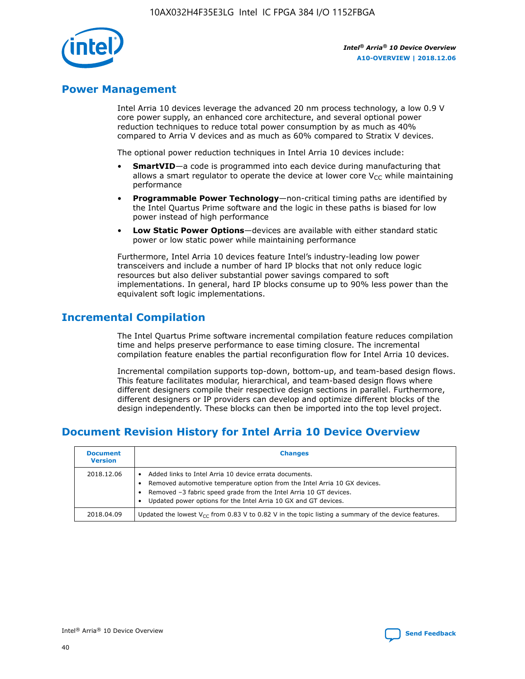

## **Power Management**

Intel Arria 10 devices leverage the advanced 20 nm process technology, a low 0.9 V core power supply, an enhanced core architecture, and several optional power reduction techniques to reduce total power consumption by as much as 40% compared to Arria V devices and as much as 60% compared to Stratix V devices.

The optional power reduction techniques in Intel Arria 10 devices include:

- **SmartVID**—a code is programmed into each device during manufacturing that allows a smart regulator to operate the device at lower core  $V_{CC}$  while maintaining performance
- **Programmable Power Technology**—non-critical timing paths are identified by the Intel Quartus Prime software and the logic in these paths is biased for low power instead of high performance
- **Low Static Power Options**—devices are available with either standard static power or low static power while maintaining performance

Furthermore, Intel Arria 10 devices feature Intel's industry-leading low power transceivers and include a number of hard IP blocks that not only reduce logic resources but also deliver substantial power savings compared to soft implementations. In general, hard IP blocks consume up to 90% less power than the equivalent soft logic implementations.

## **Incremental Compilation**

The Intel Quartus Prime software incremental compilation feature reduces compilation time and helps preserve performance to ease timing closure. The incremental compilation feature enables the partial reconfiguration flow for Intel Arria 10 devices.

Incremental compilation supports top-down, bottom-up, and team-based design flows. This feature facilitates modular, hierarchical, and team-based design flows where different designers compile their respective design sections in parallel. Furthermore, different designers or IP providers can develop and optimize different blocks of the design independently. These blocks can then be imported into the top level project.

## **Document Revision History for Intel Arria 10 Device Overview**

| <b>Document</b><br><b>Version</b> | <b>Changes</b>                                                                                                                                                                                                                                                              |
|-----------------------------------|-----------------------------------------------------------------------------------------------------------------------------------------------------------------------------------------------------------------------------------------------------------------------------|
| 2018.12.06                        | Added links to Intel Arria 10 device errata documents.<br>Removed automotive temperature option from the Intel Arria 10 GX devices.<br>Removed -3 fabric speed grade from the Intel Arria 10 GT devices.<br>Updated power options for the Intel Arria 10 GX and GT devices. |
| 2018.04.09                        | Updated the lowest $V_{CC}$ from 0.83 V to 0.82 V in the topic listing a summary of the device features.                                                                                                                                                                    |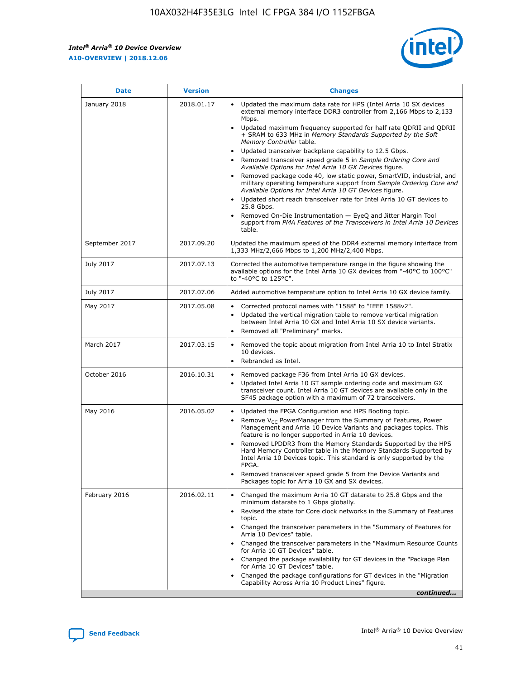*Intel® Arria® 10 Device Overview* **A10-OVERVIEW | 2018.12.06**



| <b>Date</b>    | <b>Version</b> | <b>Changes</b>                                                                                                                                                                                                                                                                                                                                                                                                                                                                                                                                                                                                                                                                                                                                                                                                                                                                                                                                                            |
|----------------|----------------|---------------------------------------------------------------------------------------------------------------------------------------------------------------------------------------------------------------------------------------------------------------------------------------------------------------------------------------------------------------------------------------------------------------------------------------------------------------------------------------------------------------------------------------------------------------------------------------------------------------------------------------------------------------------------------------------------------------------------------------------------------------------------------------------------------------------------------------------------------------------------------------------------------------------------------------------------------------------------|
| January 2018   | 2018.01.17     | Updated the maximum data rate for HPS (Intel Arria 10 SX devices<br>external memory interface DDR3 controller from 2,166 Mbps to 2,133<br>Mbps.<br>Updated maximum frequency supported for half rate QDRII and QDRII<br>+ SRAM to 633 MHz in Memory Standards Supported by the Soft<br>Memory Controller table.<br>Updated transceiver backplane capability to 12.5 Gbps.<br>$\bullet$<br>Removed transceiver speed grade 5 in Sample Ordering Core and<br>Available Options for Intel Arria 10 GX Devices figure.<br>Removed package code 40, low static power, SmartVID, industrial, and<br>military operating temperature support from Sample Ordering Core and<br>Available Options for Intel Arria 10 GT Devices figure.<br>Updated short reach transceiver rate for Intel Arria 10 GT devices to<br>25.8 Gbps.<br>Removed On-Die Instrumentation - EyeQ and Jitter Margin Tool<br>support from PMA Features of the Transceivers in Intel Arria 10 Devices<br>table. |
| September 2017 | 2017.09.20     | Updated the maximum speed of the DDR4 external memory interface from<br>1,333 MHz/2,666 Mbps to 1,200 MHz/2,400 Mbps.                                                                                                                                                                                                                                                                                                                                                                                                                                                                                                                                                                                                                                                                                                                                                                                                                                                     |
| July 2017      | 2017.07.13     | Corrected the automotive temperature range in the figure showing the<br>available options for the Intel Arria 10 GX devices from "-40°C to 100°C"<br>to "-40°C to 125°C".                                                                                                                                                                                                                                                                                                                                                                                                                                                                                                                                                                                                                                                                                                                                                                                                 |
| July 2017      | 2017.07.06     | Added automotive temperature option to Intel Arria 10 GX device family.                                                                                                                                                                                                                                                                                                                                                                                                                                                                                                                                                                                                                                                                                                                                                                                                                                                                                                   |
| May 2017       | 2017.05.08     | Corrected protocol names with "1588" to "IEEE 1588v2".<br>Updated the vertical migration table to remove vertical migration<br>between Intel Arria 10 GX and Intel Arria 10 SX device variants.<br>Removed all "Preliminary" marks.                                                                                                                                                                                                                                                                                                                                                                                                                                                                                                                                                                                                                                                                                                                                       |
| March 2017     | 2017.03.15     | Removed the topic about migration from Intel Arria 10 to Intel Stratix<br>10 devices.<br>Rebranded as Intel.<br>$\bullet$                                                                                                                                                                                                                                                                                                                                                                                                                                                                                                                                                                                                                                                                                                                                                                                                                                                 |
| October 2016   | 2016.10.31     | Removed package F36 from Intel Arria 10 GX devices.<br>Updated Intel Arria 10 GT sample ordering code and maximum GX<br>$\bullet$<br>transceiver count. Intel Arria 10 GT devices are available only in the<br>SF45 package option with a maximum of 72 transceivers.                                                                                                                                                                                                                                                                                                                                                                                                                                                                                                                                                                                                                                                                                                     |
| May 2016       | 2016.05.02     | Updated the FPGA Configuration and HPS Booting topic.<br>Remove V <sub>CC</sub> PowerManager from the Summary of Features, Power<br>Management and Arria 10 Device Variants and packages topics. This<br>feature is no longer supported in Arria 10 devices.<br>Removed LPDDR3 from the Memory Standards Supported by the HPS<br>Hard Memory Controller table in the Memory Standards Supported by<br>Intel Arria 10 Devices topic. This standard is only supported by the<br>FPGA.<br>Removed transceiver speed grade 5 from the Device Variants and<br>Packages topic for Arria 10 GX and SX devices.                                                                                                                                                                                                                                                                                                                                                                   |
| February 2016  | 2016.02.11     | Changed the maximum Arria 10 GT datarate to 25.8 Gbps and the<br>minimum datarate to 1 Gbps globally.<br>Revised the state for Core clock networks in the Summary of Features<br>$\bullet$<br>topic.<br>Changed the transceiver parameters in the "Summary of Features for<br>Arria 10 Devices" table.<br>• Changed the transceiver parameters in the "Maximum Resource Counts<br>for Arria 10 GT Devices" table.<br>• Changed the package availability for GT devices in the "Package Plan<br>for Arria 10 GT Devices" table.<br>Changed the package configurations for GT devices in the "Migration"<br>Capability Across Arria 10 Product Lines" figure.<br>continued                                                                                                                                                                                                                                                                                                  |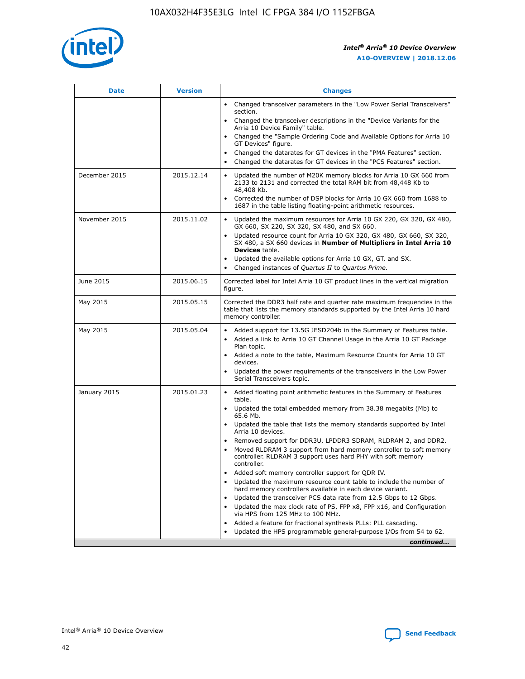

| <b>Date</b>   | <b>Version</b> | <b>Changes</b>                                                                                                                                                                   |
|---------------|----------------|----------------------------------------------------------------------------------------------------------------------------------------------------------------------------------|
|               |                | • Changed transceiver parameters in the "Low Power Serial Transceivers"<br>section.                                                                                              |
|               |                | • Changed the transceiver descriptions in the "Device Variants for the<br>Arria 10 Device Family" table.                                                                         |
|               |                | Changed the "Sample Ordering Code and Available Options for Arria 10<br>GT Devices" figure.                                                                                      |
|               |                | Changed the datarates for GT devices in the "PMA Features" section.                                                                                                              |
|               |                | Changed the datarates for GT devices in the "PCS Features" section.<br>$\bullet$                                                                                                 |
| December 2015 | 2015.12.14     | Updated the number of M20K memory blocks for Arria 10 GX 660 from<br>$\bullet$<br>2133 to 2131 and corrected the total RAM bit from 48,448 Kb to<br>48,408 Kb.                   |
|               |                | Corrected the number of DSP blocks for Arria 10 GX 660 from 1688 to<br>$\bullet$<br>1687 in the table listing floating-point arithmetic resources.                               |
| November 2015 | 2015.11.02     | Updated the maximum resources for Arria 10 GX 220, GX 320, GX 480,<br>$\bullet$<br>GX 660, SX 220, SX 320, SX 480, and SX 660.                                                   |
|               |                | Updated resource count for Arria 10 GX 320, GX 480, GX 660, SX 320,<br>$\bullet$<br>SX 480, a SX 660 devices in Number of Multipliers in Intel Arria 10<br><b>Devices</b> table. |
|               |                | Updated the available options for Arria 10 GX, GT, and SX.<br>$\bullet$                                                                                                          |
|               |                | Changed instances of Quartus II to Quartus Prime.<br>$\bullet$                                                                                                                   |
| June 2015     | 2015.06.15     | Corrected label for Intel Arria 10 GT product lines in the vertical migration<br>figure.                                                                                         |
| May 2015      | 2015.05.15     | Corrected the DDR3 half rate and quarter rate maximum frequencies in the<br>table that lists the memory standards supported by the Intel Arria 10 hard<br>memory controller.     |
| May 2015      | 2015.05.04     | • Added support for 13.5G JESD204b in the Summary of Features table.<br>• Added a link to Arria 10 GT Channel Usage in the Arria 10 GT Package<br>Plan topic.                    |
|               |                | • Added a note to the table, Maximum Resource Counts for Arria 10 GT<br>devices.                                                                                                 |
|               |                | Updated the power requirements of the transceivers in the Low Power<br>Serial Transceivers topic.                                                                                |
| January 2015  | 2015.01.23     | • Added floating point arithmetic features in the Summary of Features<br>table.                                                                                                  |
|               |                | • Updated the total embedded memory from 38.38 megabits (Mb) to<br>65.6 Mb.                                                                                                      |
|               |                | • Updated the table that lists the memory standards supported by Intel<br>Arria 10 devices.                                                                                      |
|               |                | Removed support for DDR3U, LPDDR3 SDRAM, RLDRAM 2, and DDR2.<br>Moved RLDRAM 3 support from hard memory controller to soft memory                                                |
|               |                | controller. RLDRAM 3 support uses hard PHY with soft memory<br>controller.                                                                                                       |
|               |                | Added soft memory controller support for QDR IV.                                                                                                                                 |
|               |                | Updated the maximum resource count table to include the number of<br>hard memory controllers available in each device variant.                                                   |
|               |                | Updated the transceiver PCS data rate from 12.5 Gbps to 12 Gbps.<br>$\bullet$                                                                                                    |
|               |                | Updated the max clock rate of PS, FPP x8, FPP x16, and Configuration<br>via HPS from 125 MHz to 100 MHz.                                                                         |
|               |                | Added a feature for fractional synthesis PLLs: PLL cascading.                                                                                                                    |
|               |                | Updated the HPS programmable general-purpose I/Os from 54 to 62.<br>$\bullet$                                                                                                    |
|               |                | continued                                                                                                                                                                        |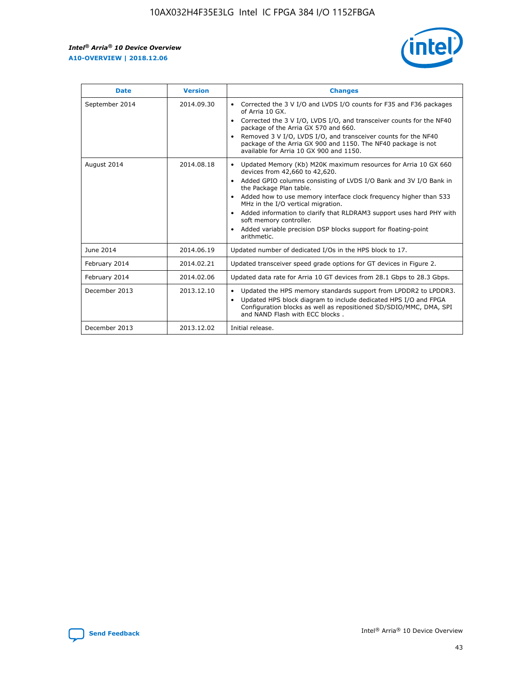r



| <b>Date</b>    | <b>Version</b> | <b>Changes</b>                                                                                                                                                                                                                                                                                                                                                                                                                                                                                                                                      |
|----------------|----------------|-----------------------------------------------------------------------------------------------------------------------------------------------------------------------------------------------------------------------------------------------------------------------------------------------------------------------------------------------------------------------------------------------------------------------------------------------------------------------------------------------------------------------------------------------------|
| September 2014 | 2014.09.30     | Corrected the 3 V I/O and LVDS I/O counts for F35 and F36 packages<br>$\bullet$<br>of Arria 10 GX.<br>Corrected the 3 V I/O, LVDS I/O, and transceiver counts for the NF40<br>$\bullet$<br>package of the Arria GX 570 and 660.<br>Removed 3 V I/O, LVDS I/O, and transceiver counts for the NF40<br>package of the Arria GX 900 and 1150. The NF40 package is not<br>available for Arria 10 GX 900 and 1150.                                                                                                                                       |
| August 2014    | 2014.08.18     | Updated Memory (Kb) M20K maximum resources for Arria 10 GX 660<br>devices from 42,660 to 42,620.<br>Added GPIO columns consisting of LVDS I/O Bank and 3V I/O Bank in<br>$\bullet$<br>the Package Plan table.<br>Added how to use memory interface clock frequency higher than 533<br>$\bullet$<br>MHz in the I/O vertical migration.<br>Added information to clarify that RLDRAM3 support uses hard PHY with<br>$\bullet$<br>soft memory controller.<br>Added variable precision DSP blocks support for floating-point<br>$\bullet$<br>arithmetic. |
| June 2014      | 2014.06.19     | Updated number of dedicated I/Os in the HPS block to 17.                                                                                                                                                                                                                                                                                                                                                                                                                                                                                            |
| February 2014  | 2014.02.21     | Updated transceiver speed grade options for GT devices in Figure 2.                                                                                                                                                                                                                                                                                                                                                                                                                                                                                 |
| February 2014  | 2014.02.06     | Updated data rate for Arria 10 GT devices from 28.1 Gbps to 28.3 Gbps.                                                                                                                                                                                                                                                                                                                                                                                                                                                                              |
| December 2013  | 2013.12.10     | Updated the HPS memory standards support from LPDDR2 to LPDDR3.<br>Updated HPS block diagram to include dedicated HPS I/O and FPGA<br>$\bullet$<br>Configuration blocks as well as repositioned SD/SDIO/MMC, DMA, SPI<br>and NAND Flash with ECC blocks.                                                                                                                                                                                                                                                                                            |
| December 2013  | 2013.12.02     | Initial release.                                                                                                                                                                                                                                                                                                                                                                                                                                                                                                                                    |